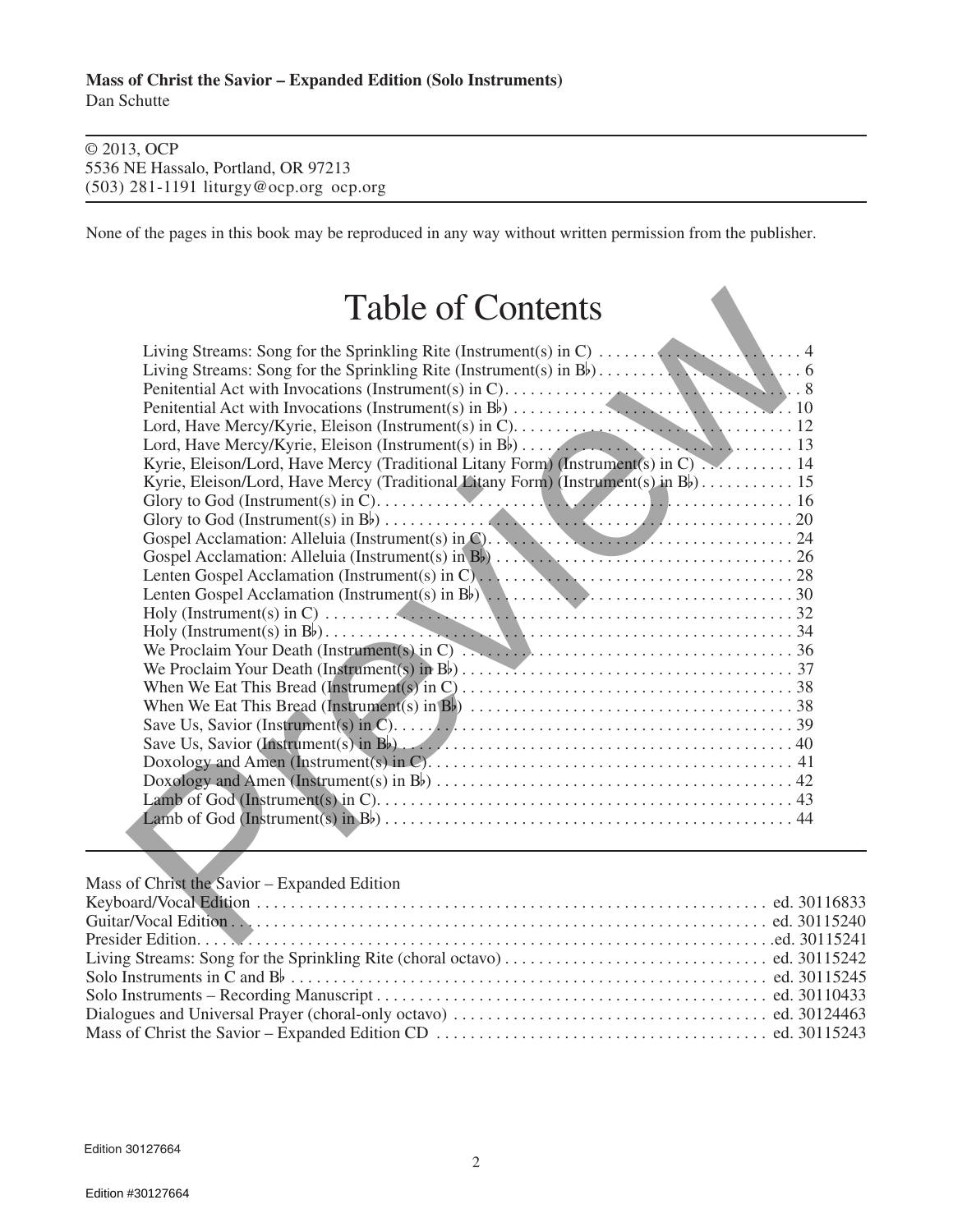© 2013, OCP 5536 NE Hassalo, Portland, OR 97213 (503) 281-1191 liturgy@ocp.org ocp.org

None of the pages in this book may be reproduced in any way without written permission from the publisher.

### Table of Contents

| <b>Table of Contents</b>                                                           |  |
|------------------------------------------------------------------------------------|--|
|                                                                                    |  |
|                                                                                    |  |
|                                                                                    |  |
|                                                                                    |  |
|                                                                                    |  |
|                                                                                    |  |
|                                                                                    |  |
| Kyrie, Eleison/Lord, Have Mercy (Traditional Litany Form) (Instrument(s) in C)  14 |  |
| Kyrie, Eleison/Lord, Have Mercy (Traditional Litany Form) (Instrument(s) in Bb) 15 |  |
|                                                                                    |  |
|                                                                                    |  |
|                                                                                    |  |
|                                                                                    |  |
| Lenten Gospel Acclamation (Instrument(s) in Bb)                                    |  |
|                                                                                    |  |
|                                                                                    |  |
|                                                                                    |  |
|                                                                                    |  |
|                                                                                    |  |
|                                                                                    |  |
|                                                                                    |  |
|                                                                                    |  |
|                                                                                    |  |
|                                                                                    |  |
|                                                                                    |  |
|                                                                                    |  |
|                                                                                    |  |
|                                                                                    |  |
| of Christ the Savior - Expanded Edition                                            |  |
|                                                                                    |  |
|                                                                                    |  |
|                                                                                    |  |

| Mass of Christ the Savior - Expanded Edition |  |
|----------------------------------------------|--|
|                                              |  |
|                                              |  |
|                                              |  |
|                                              |  |
|                                              |  |
|                                              |  |
|                                              |  |
|                                              |  |

Edition 30127664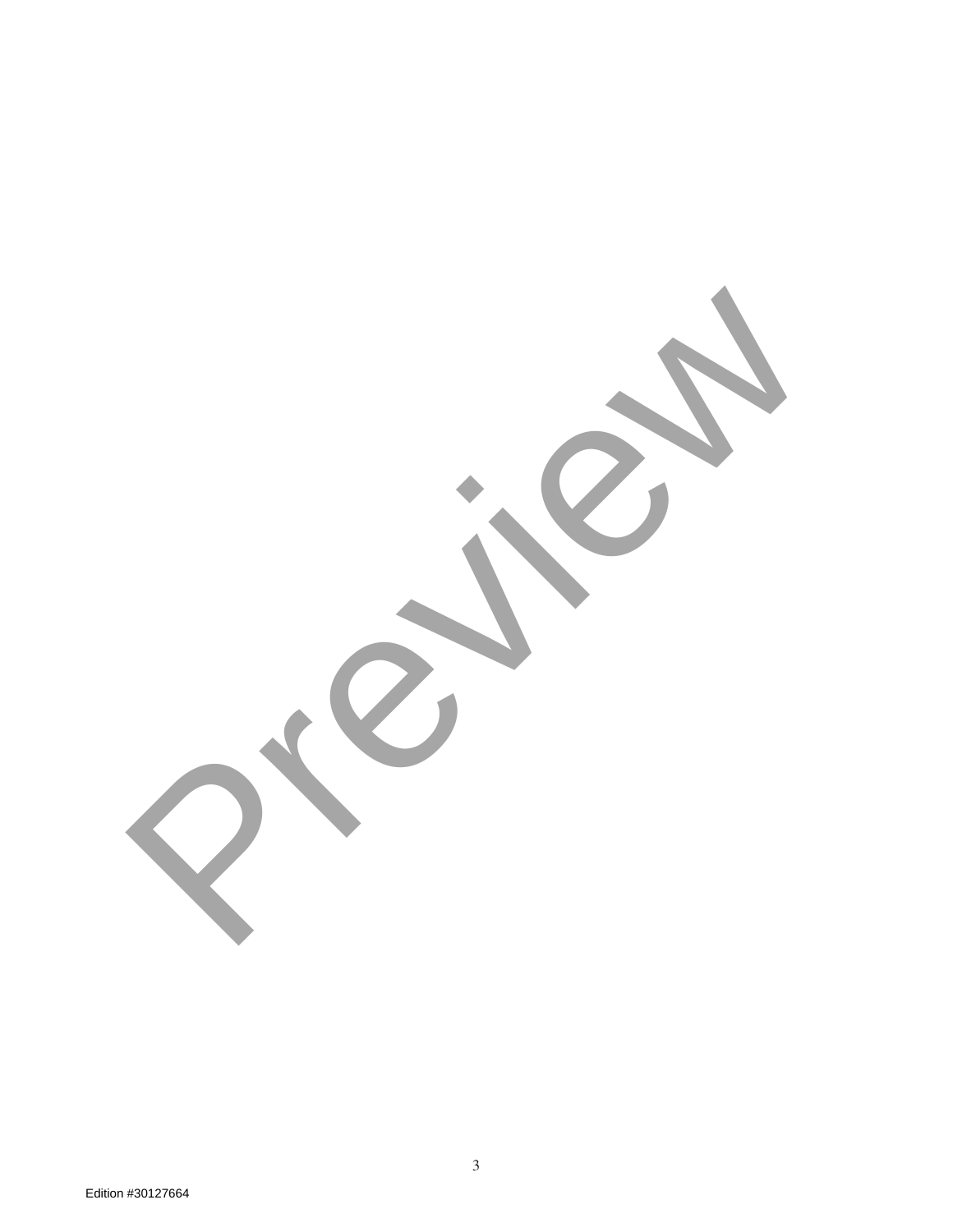Previews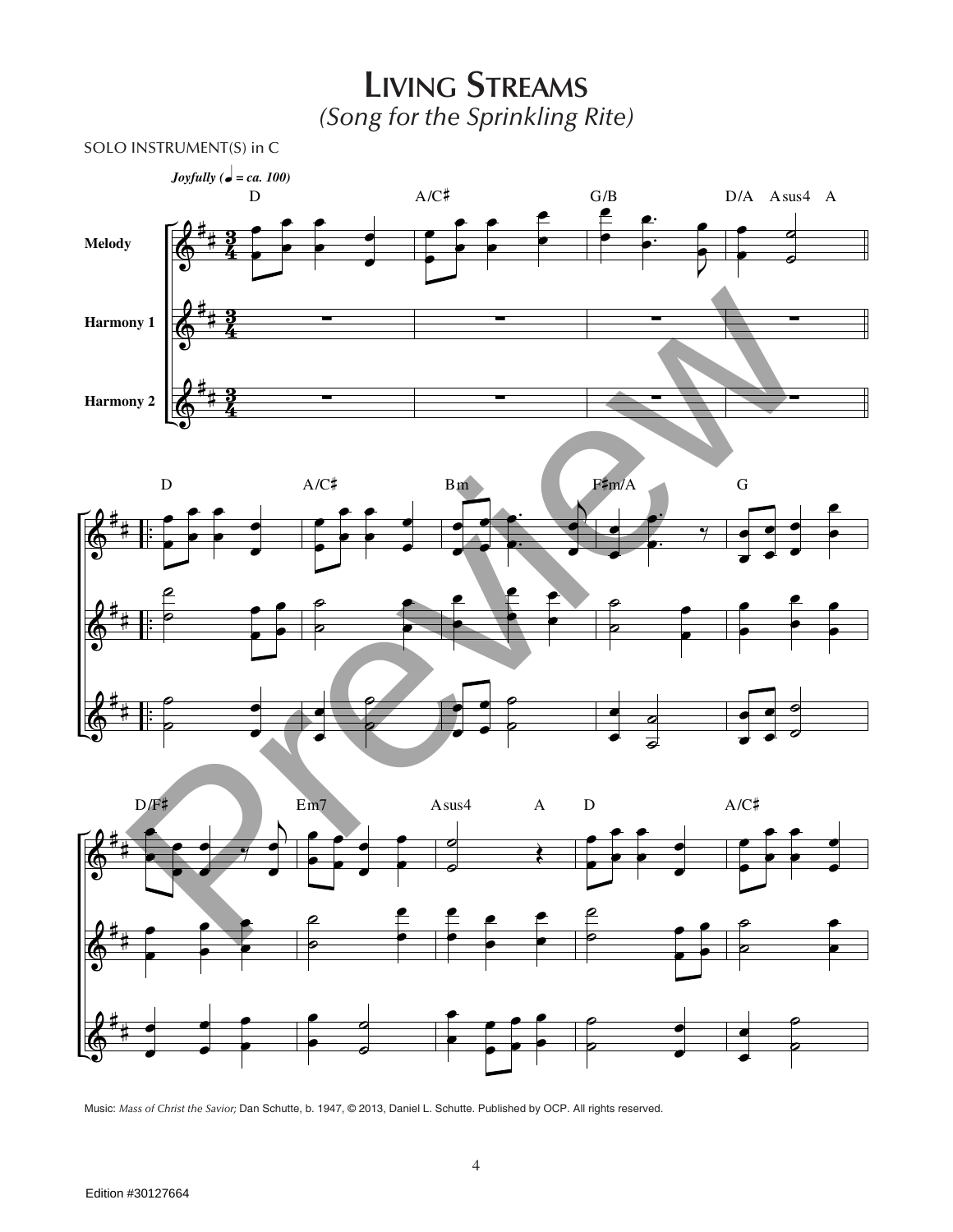**Living Streams** *(Song for the Sprinkling Rite)*

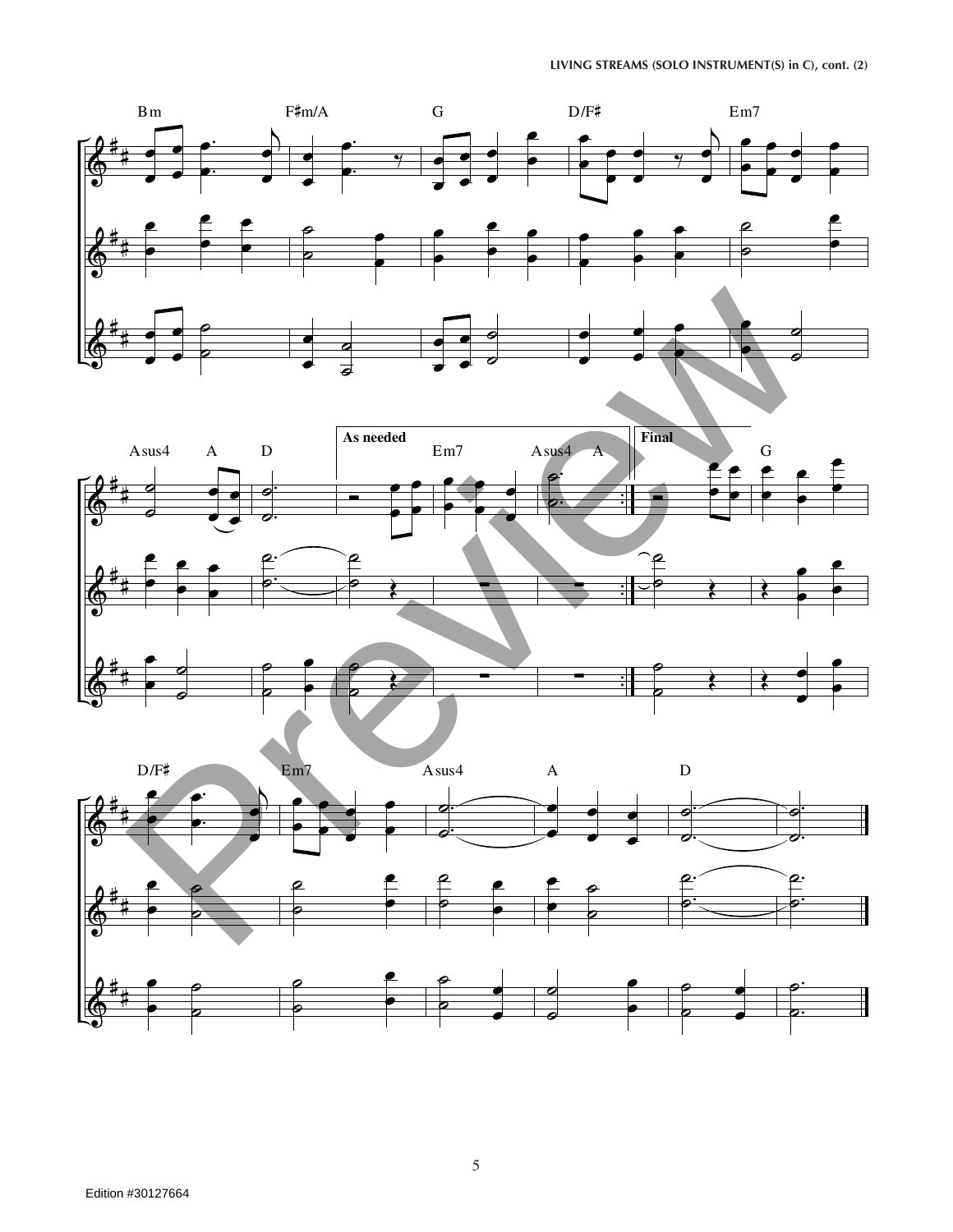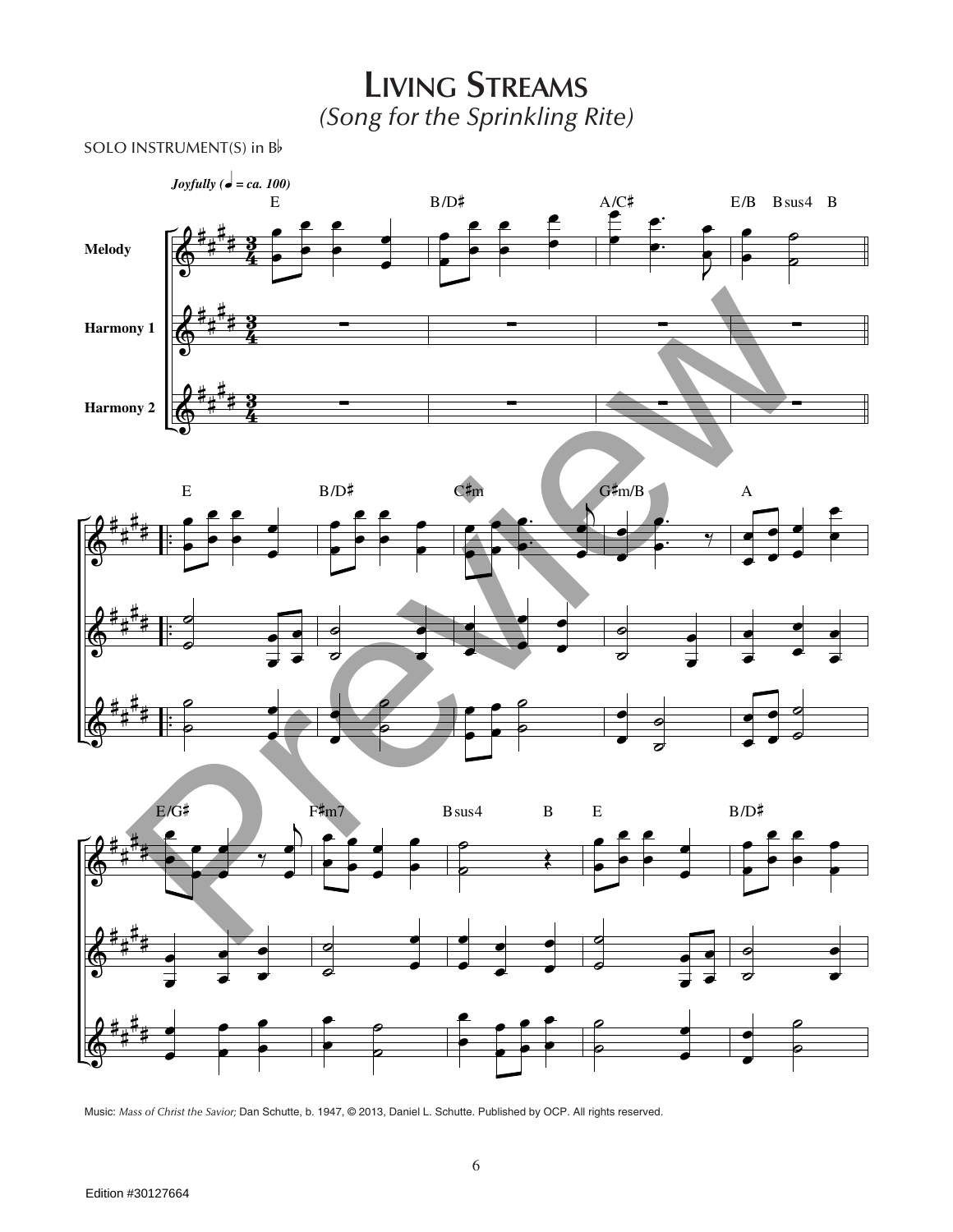**Living Streams** *(Song for the Sprinkling Rite)*

SOLO INSTRUMENT(S) in Bb

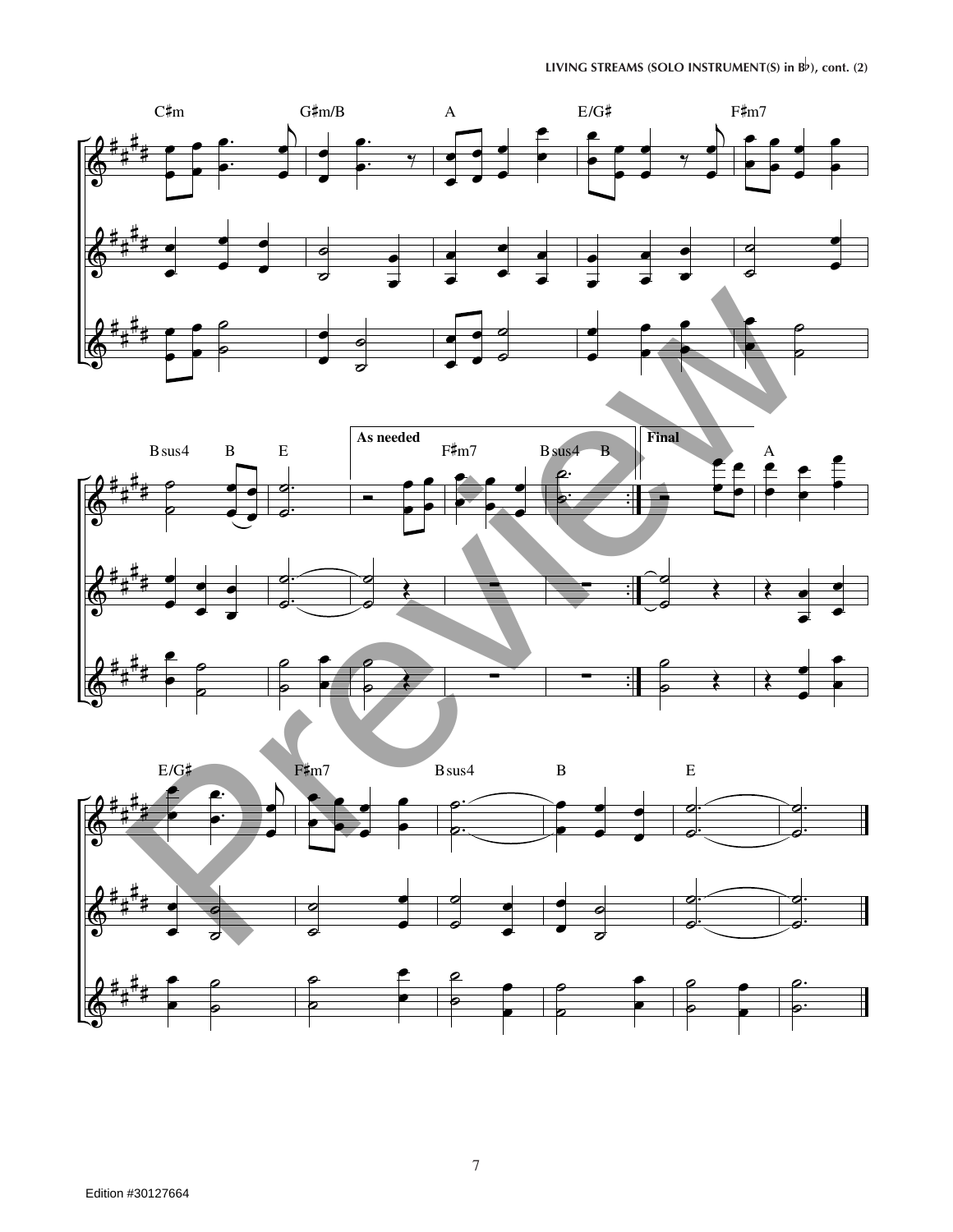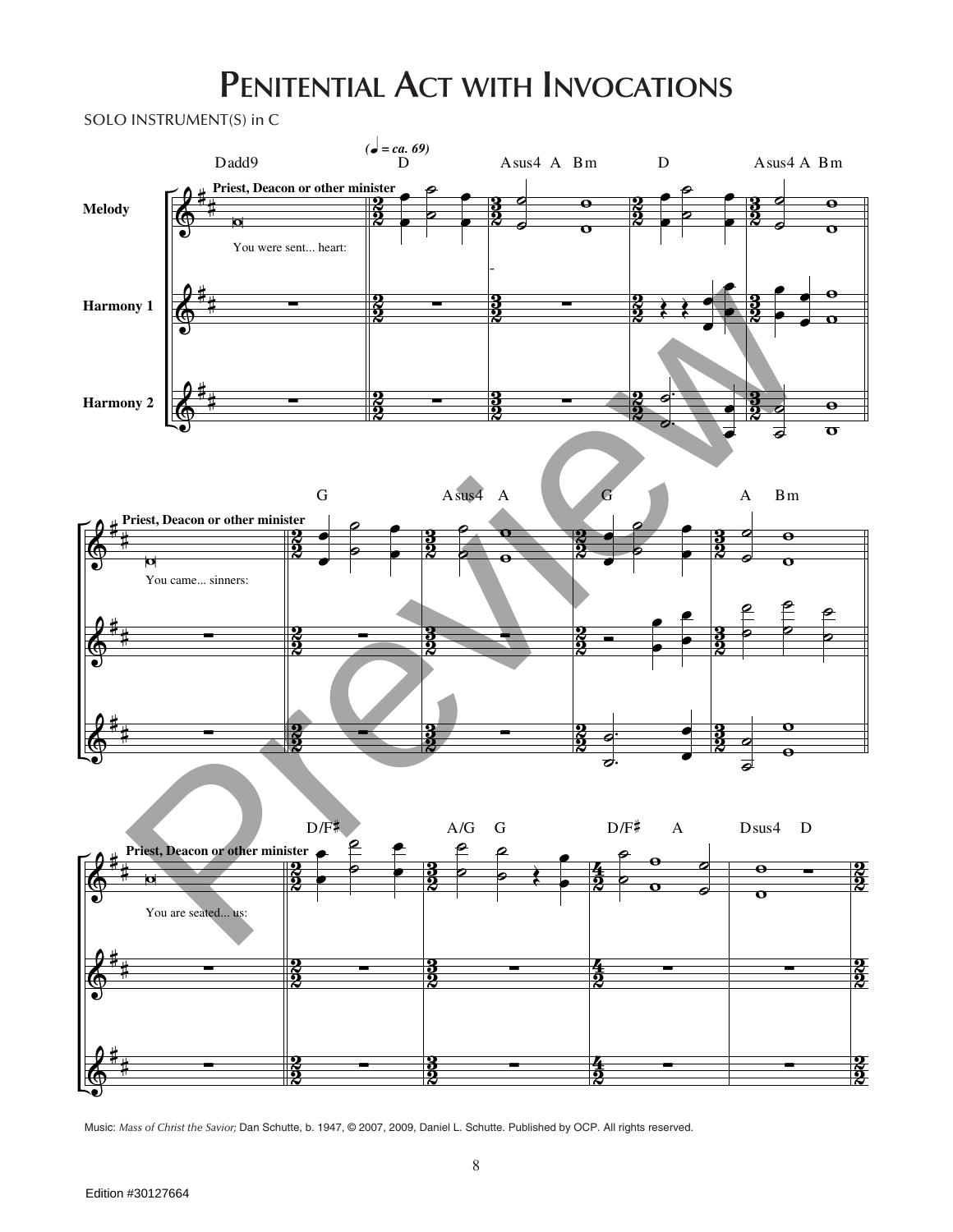# **Penitential Act with Invocations**

SOLO INSTRUMENT(S) in C

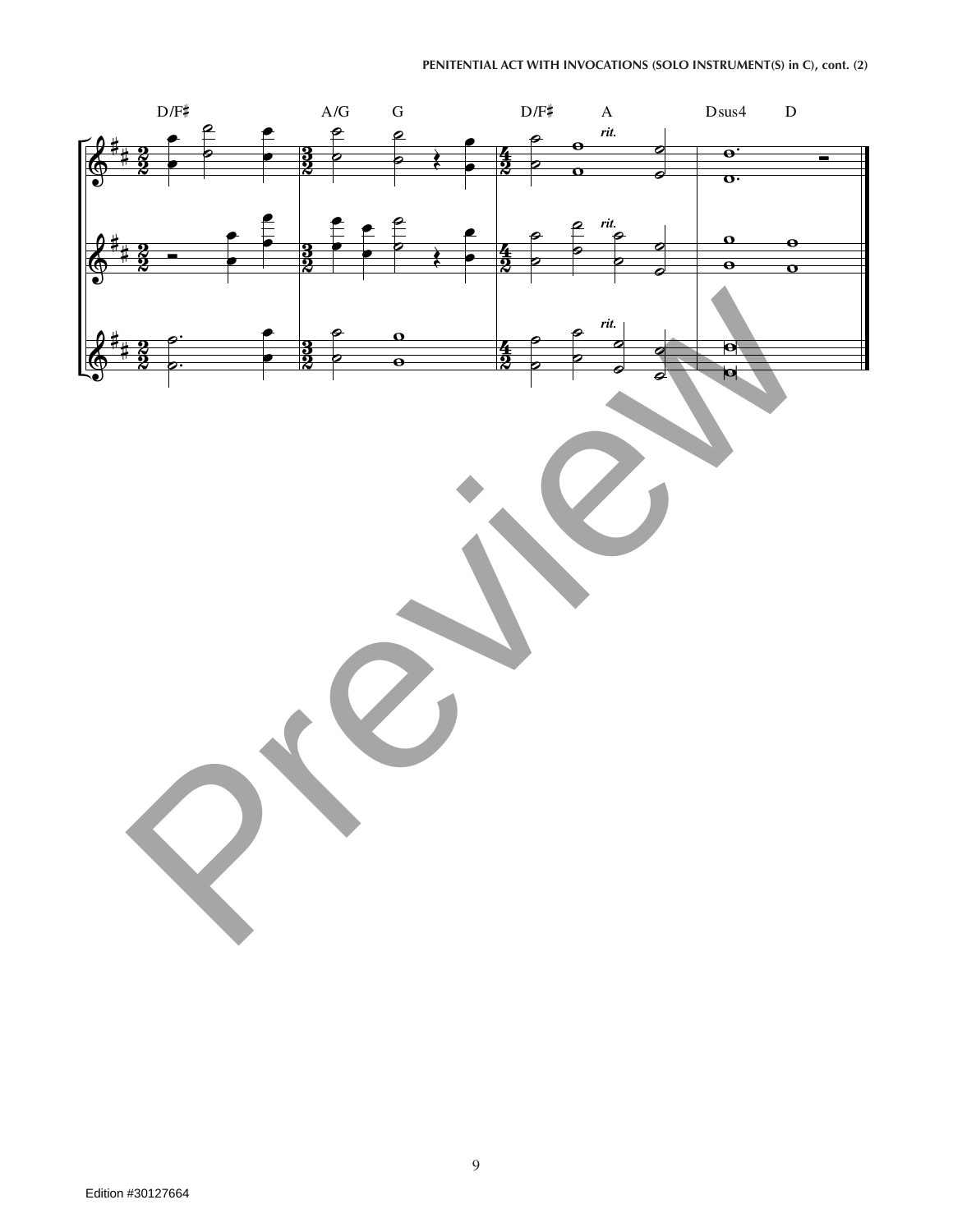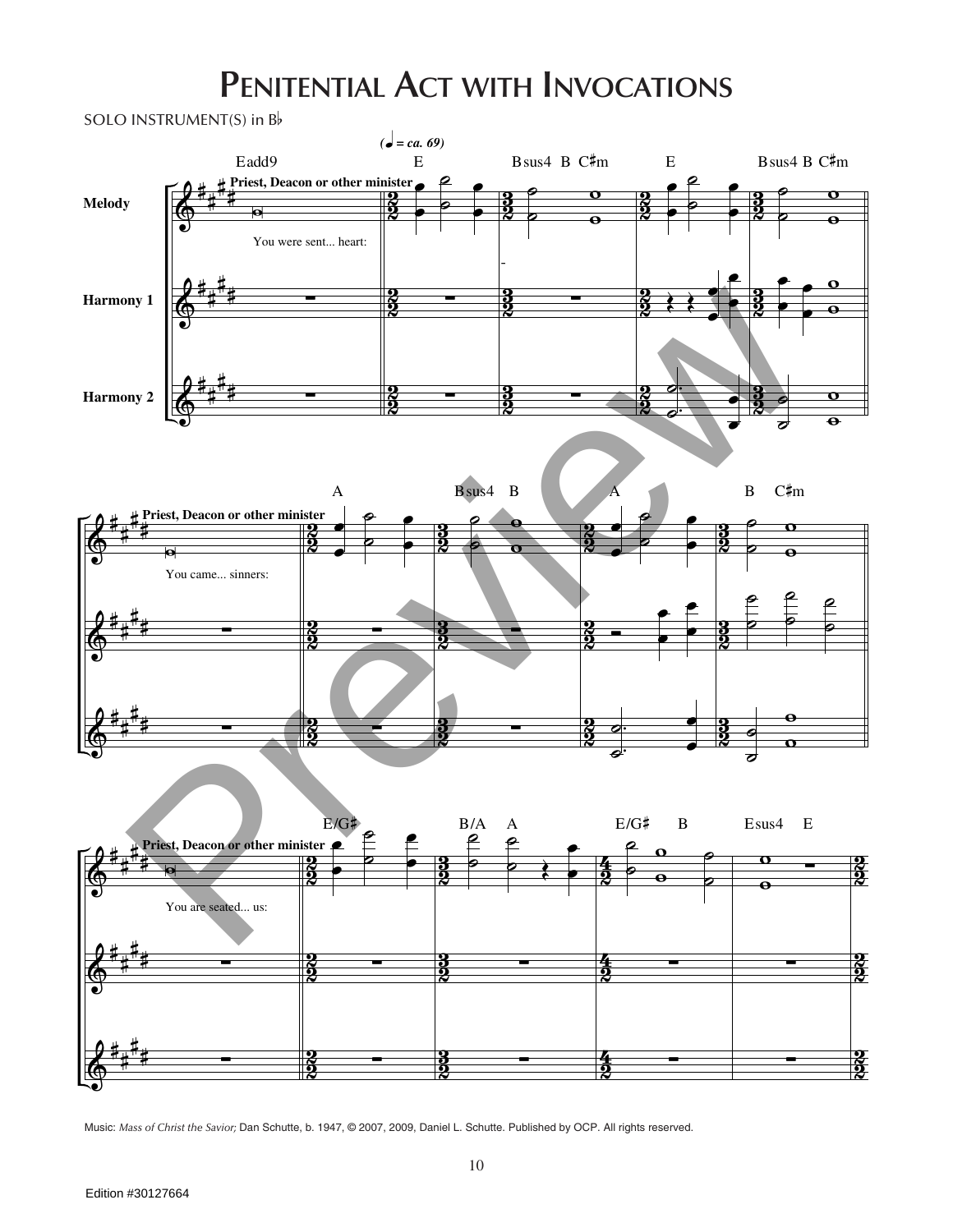# **Penitential Act with Invocations**

SOLO INSTRUMENT(S) in Bb  $\Phi$  $\pmb{\phi}$  $\pmb{\phi}$ # # # # 2 **Priest, Deacon or other minister** œ # # # # # # # #  $\frac{2}{2}$  $\frac{2}{3}$ <u>ջ</u>  $\frac{8}{2}$ <u>ջ</u>  $\frac{3}{2}$ <u><br>ខ្ពុំ</u>  $\frac{3}{2}$ <u><br>ខ្ពុំ</u>  $\frac{3}{2}$ <u>ន្ត</u>  $\frac{2}{2}$ <u>እ</u>  $\frac{2}{3}$ <u>ջ</u>  $\frac{8}{2}$ <u>እ</u>  $\frac{3}{2}$ <u>អ្ន</u>  $\frac{3}{2}$ <u>អ្ន</u> 3<br>2<br>2 <u><br>អ្វី</u> **Melody Harmony 1 Harmony 2** á You were sent... heart: ∑ ∑ Eadd9 œ  $\overline{e}$  $\overline{\bullet}$ œ œ ∑ ∑ E  $\overrightarrow{e} = ca. 69$  $\overline{a}$  $\overline{\bullet}$  $\overline{\mathbf{o}}$  $\overline{\bullet}$ ∑ ∑ Bsus4 B C#m œ œ  $\epsilon$  $\overline{\bullet}$ œ œ  $\overrightarrow{a}$ œ œ œ . .  $\overline{\bullet}$  $\overline{\phantom{0}}$ œ œ E  $\overline{e}$ ˙  $\overline{\mathbf{o}}$  $\overline{\bullet}$ œ œ œ œ  $\overline{\mathbf{o}}$  $\overline{\bullet}$  $\bullet$  $\overline{\bullet}$  $\overline{\mathbf{o}}$  $\ddot{\mathbf{e}}$ Bsus4 B C#m  $\Phi$  $\Phi$  $\pmb{\phi}$ # # # # 2 **Priest, Deacon or other minister** # # # # # # # #  $\frac{2}{2}$  $\frac{2}{3}$ <u>እ</u>  $\frac{2}{2}$ <u>እ</u>  $\frac{3}{2}$ <u><br>ខ្លួ</u>  $\frac{3}{2}$ <u>អ្ន</u> <u>วี</u><br>2 <u><br>ខ្លួ</u>  $\frac{2}{2}$ <u>አ</u>  $\frac{2}{3}$ <u>እ</u>  $\frac{2}{2}$ <u>ջ</u>  $\frac{3}{2}$ <u>ន្ត</u>  $\frac{3}{2}$ <u><br>ខ្ពុំ</u>  $\frac{3}{2}$ <u>ន្ត</u> á You came... sinners: ∑ ∑ œ œ  $\overline{e}$ ˙ œ œ ∑ ∑ A ˙  $\bullet$  $\bullet$ w ∑ ∑ Bsus4 B œ œ ˙  $\overline{\phantom{0}}$ œ œ  $\frac{1}{\sqrt{2}}$ œ œ œ . .  $\overline{\bullet}$  $\overline{\bullet}$ œ œ A  $\overline{P}$ ˙ w  $\overline{\bullet}$  $\overline{P}$ ˙  $\overline{a}$ ˙  $\overline{a}$ ˙  $\overline{\bullet}$  $\overline{\bullet}$  $\bullet$ w B C# m  $\Phi$  $\Phi$  $\pmb{\phi}$ # # Priest, Deacon or other minister<br> **2** # # # # # # # #  $\frac{2}{2}$  $\rm \ddot{8}$ <u>እ</u>  $\frac{2}{2}$ <u>ջ</u>  $\frac{3}{2}$ <u><br>ខ្លួ</u>  $\frac{3}{2}$ <u><br>ខ្ពុំ</u> <u>วี</u><br>2 <u><br>ខ្ពុំ</u>  $\frac{4}{2}$ <u>ر</u>  $\frac{4}{2}$ <u>。</u>  $\frac{4}{2}$ <u>ر</u>  $\frac{2}{2}$ <u>እ</u>  $\rm \ddot{8}$ <u>እ</u>  $\frac{2}{2}$ <u>ջ</u> á You are seated... us: ∑ ∑ **Priest, Deacon or other minister** œ  $\overline{e}$  $\overline{\bullet}$ œ œ ∑ ∑ E/G#  $\begin{matrix} \mathsf{B}/\mathsf{A} & \mathsf{A} \\ \mathsf{P} & \mathsf{P} \end{matrix}$ ˙  $\mathbf{A}$  $\overrightarrow{c}$ œ œ ∑ ∑  $\overline{\phantom{a}}$ ˙  $\overline{\mathbf{o}}$  $\overline{\mathbf{e}}$  $\overline{e}$  $\overline{\bullet}$ ∑ ∑ E/G# B w  $\frac{0}{\Theta}$ ∑ ∑ esus 2  $\frac{1}{2}$ <br>  $\frac{1}{2}$ <br>  $\frac{1}{2}$ <br>  $\frac{1}{2}$ <br>  $\frac{1}{2}$ <br>  $\frac{1}{2}$ <br>  $\frac{1}{2}$ <br>  $\frac{1}{2}$ <br>  $\frac{1}{2}$ <br>  $\frac{1}{2}$ <br>  $\frac{1}{2}$ <br>  $\frac{1}{2}$ <br>  $\frac{1}{2}$ <br>  $\frac{1}{2}$ <br>  $\frac{1}{2}$ <br>  $\frac{1}{2}$ <br>  $\frac{1}{2}$ <br>  $\frac{1}{2}$ <br>  $\frac{1}{2}$ <br>  $\frac{1$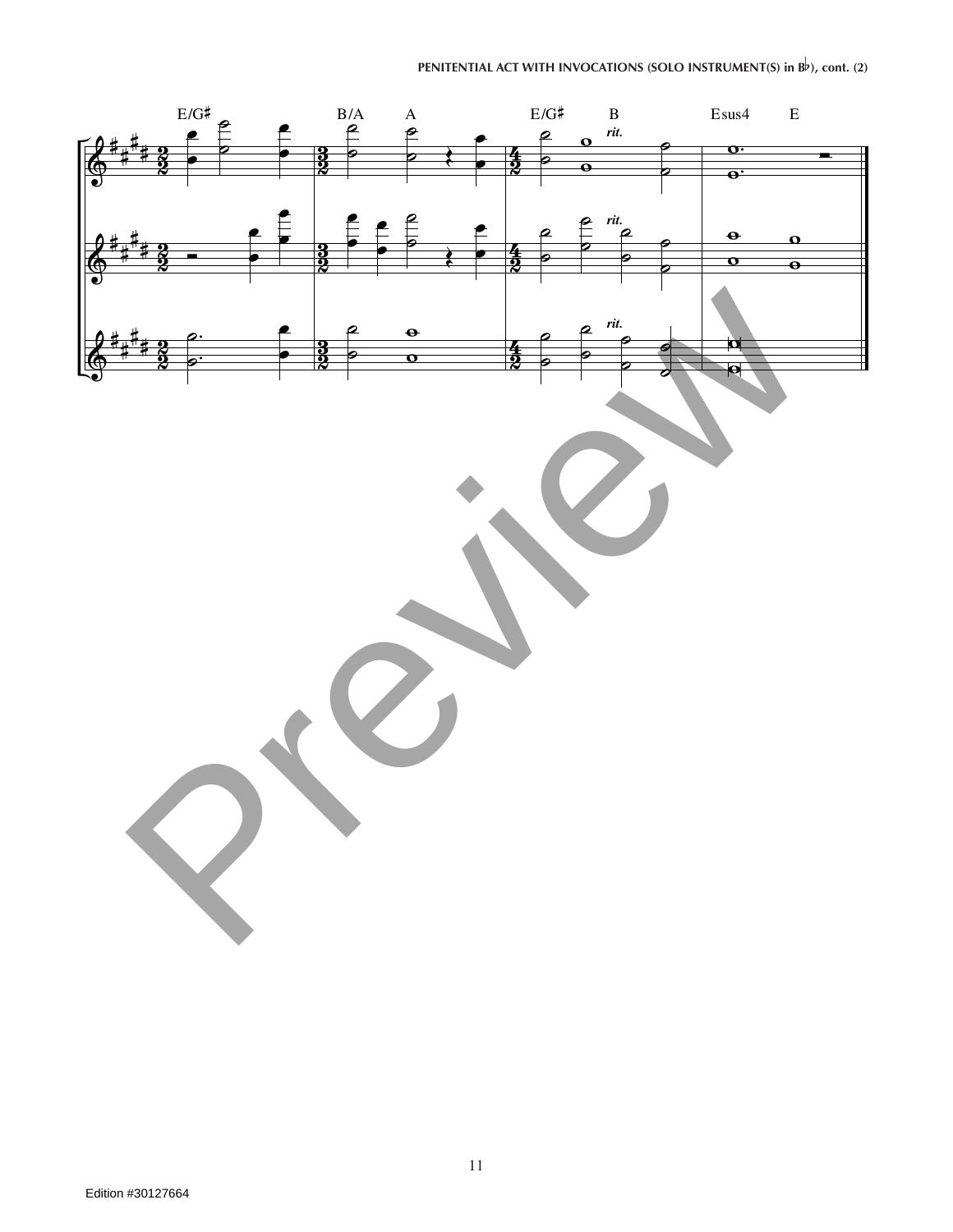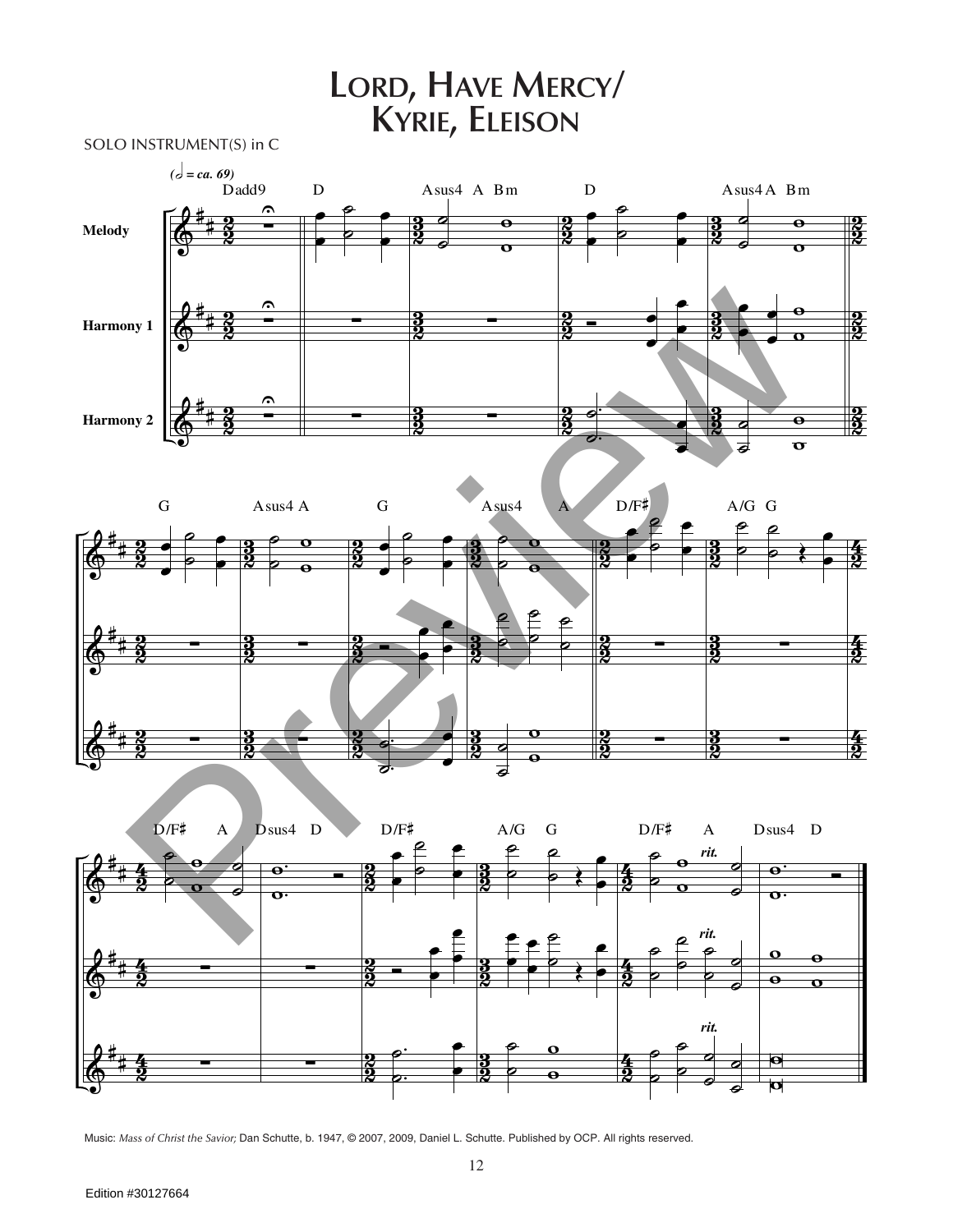### **Lord, Have Mercy/ Kyrie, Eleison**





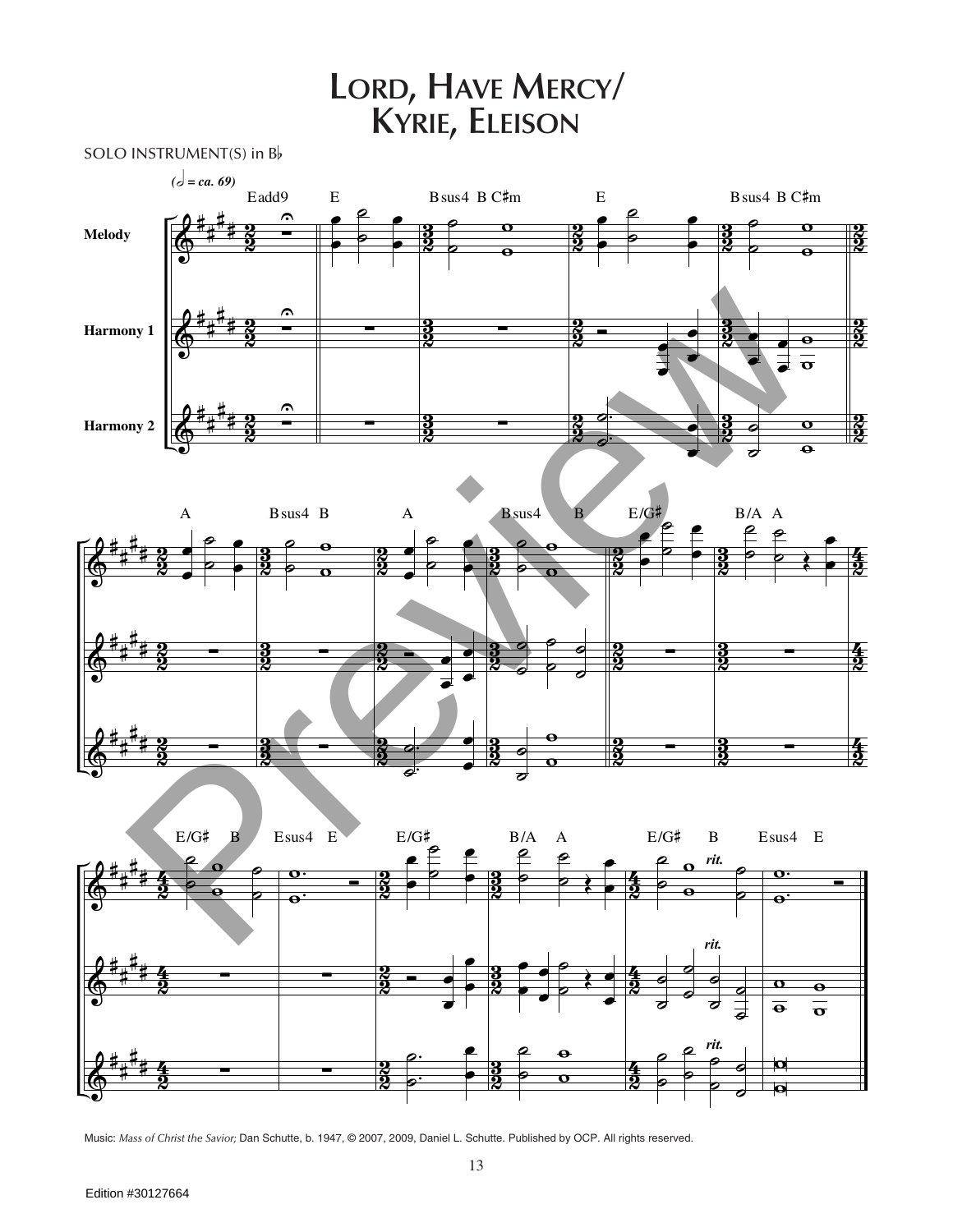### **Lord, Have Mercy/ Kyrie, Eleison**

SOLO INSTRUMENT(S) in Bb





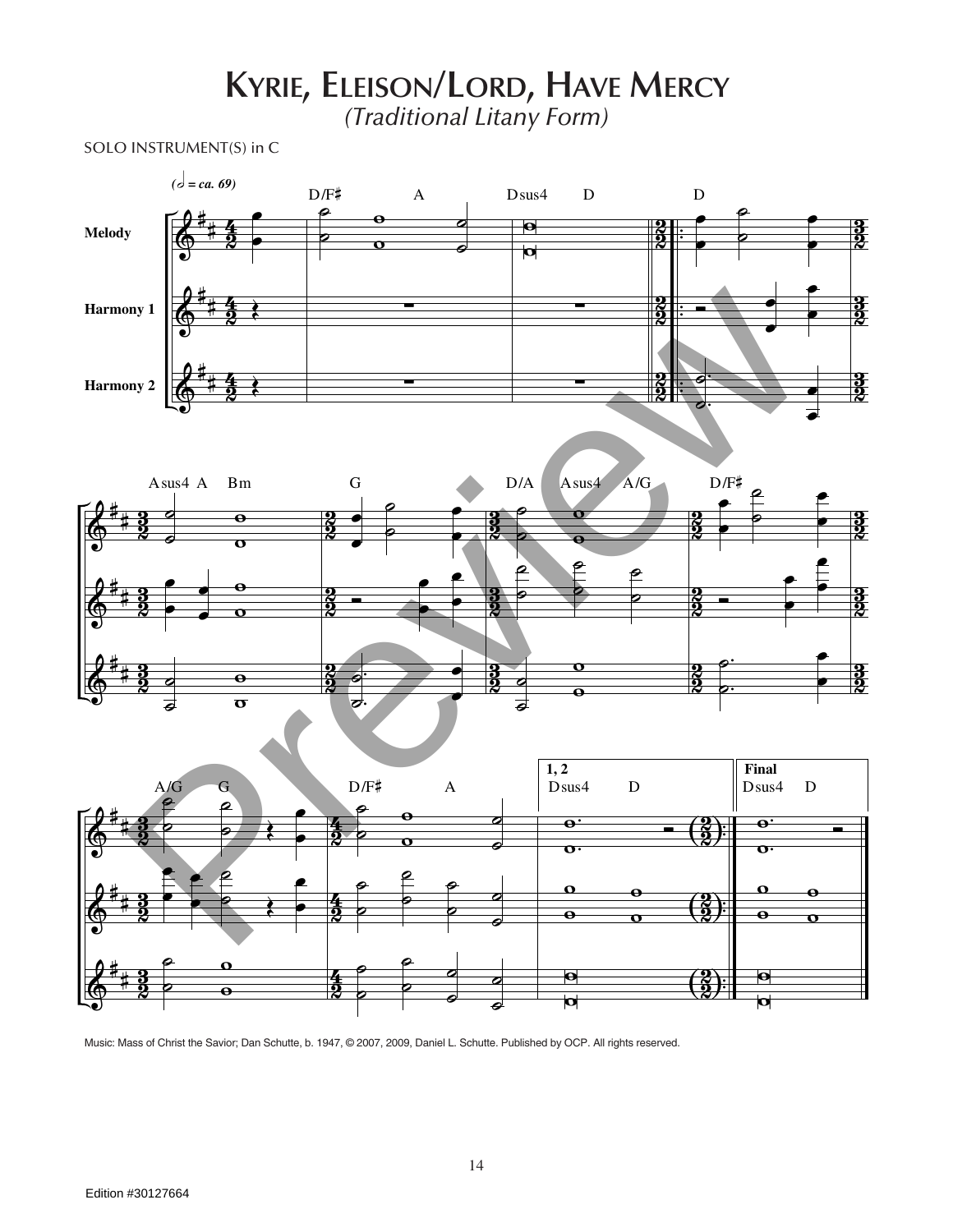### **Kyrie, Eleison/Lord, Have Mercy** *(Traditional Litany Form)*

SOLO INSTRUMENT(S) in C





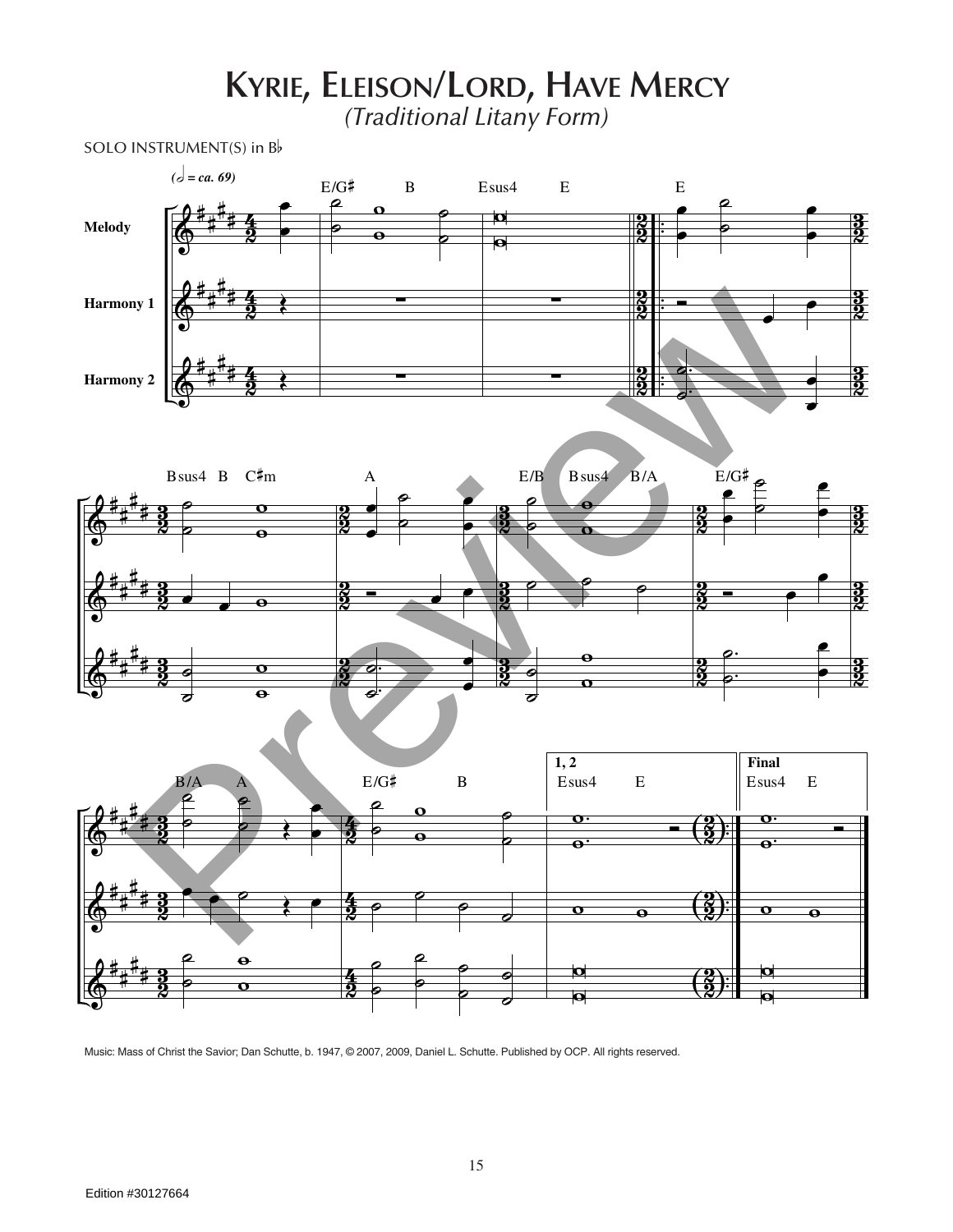### **Kyrie, Eleison/Lord, Have Mercy** *(Traditional Litany Form)*

SOLO INSTRUMENT(S) in Bb





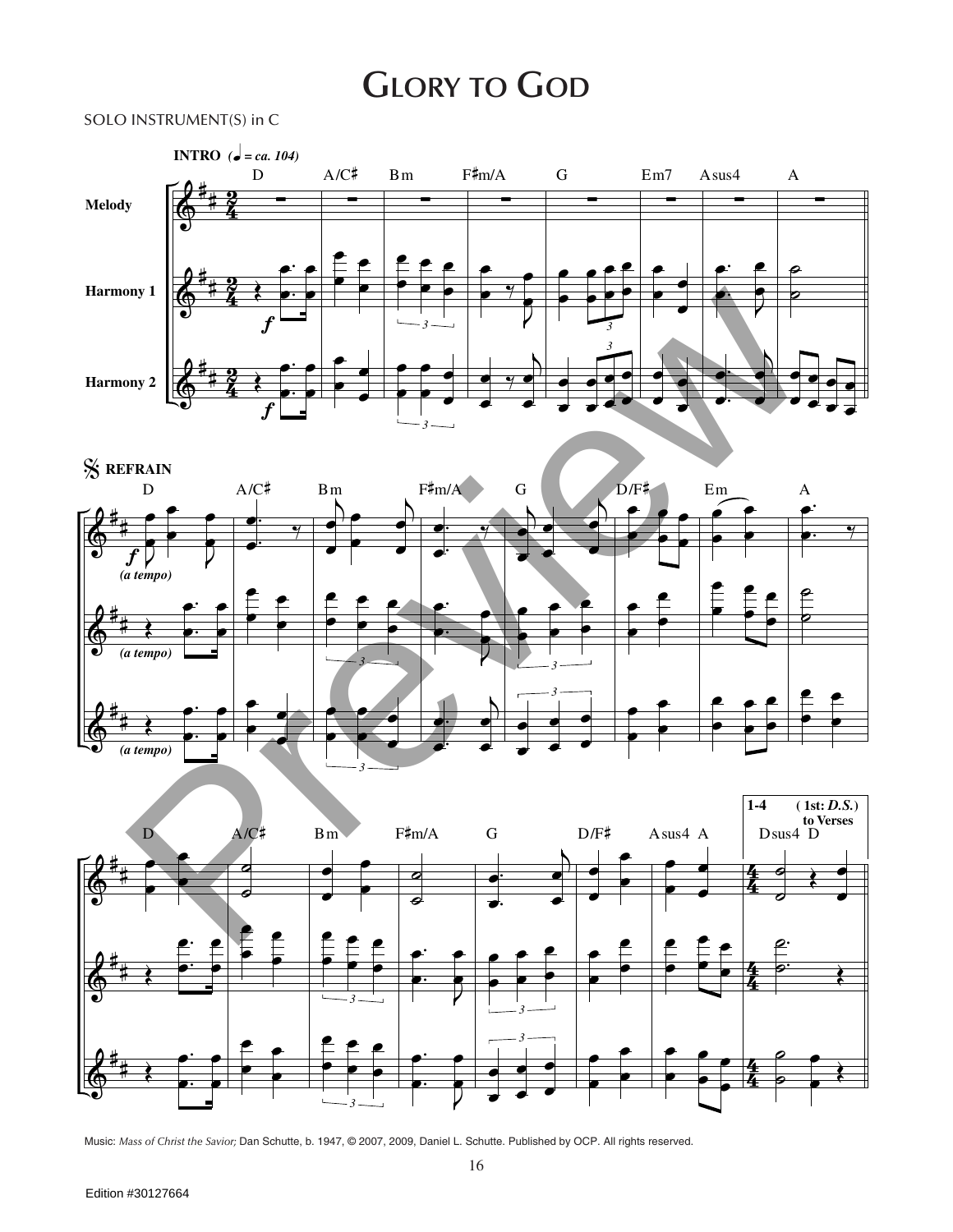## **Glory to God**

### SOLO INSTRUMENT(S) in C







Music: *Mass of Christ the Savior;* Dan Schutte, b. 1947, © 2007, 2009, Daniel L. Schutte. Published by OCP. All rights reserved.

Edition #30127664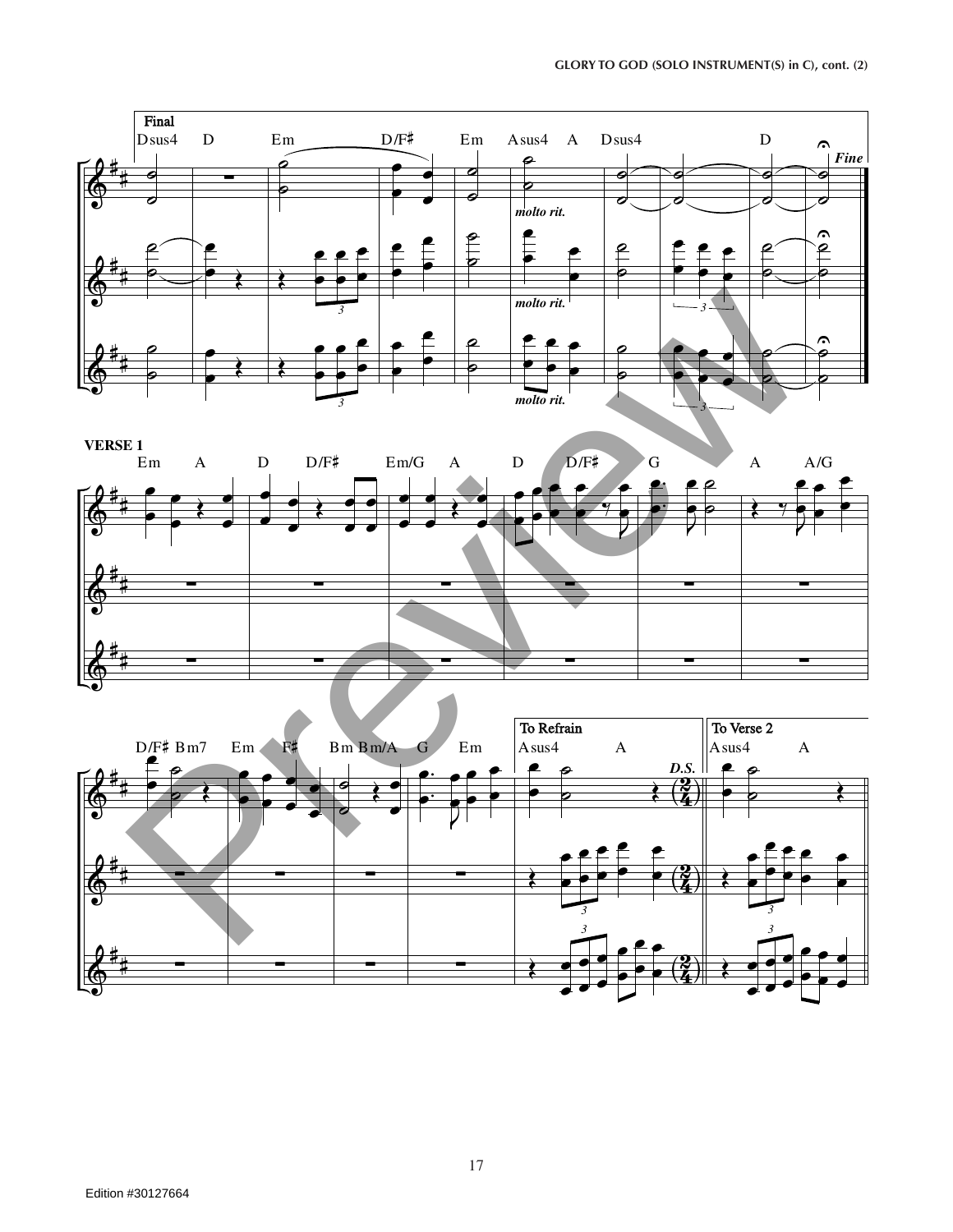



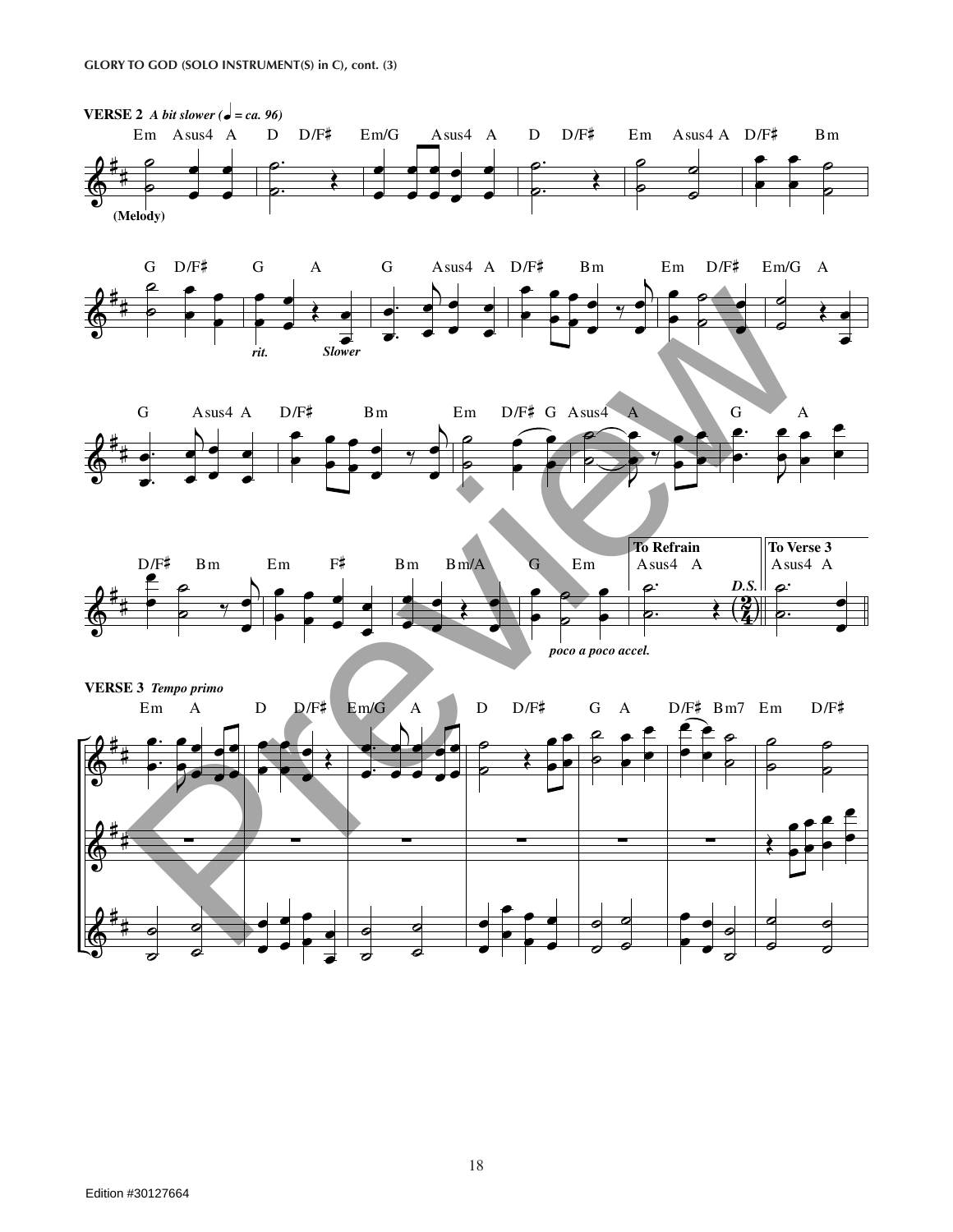#### **GLORY TO GOD (SOLO INSTRUMENT(S) in C), cont. (3)**

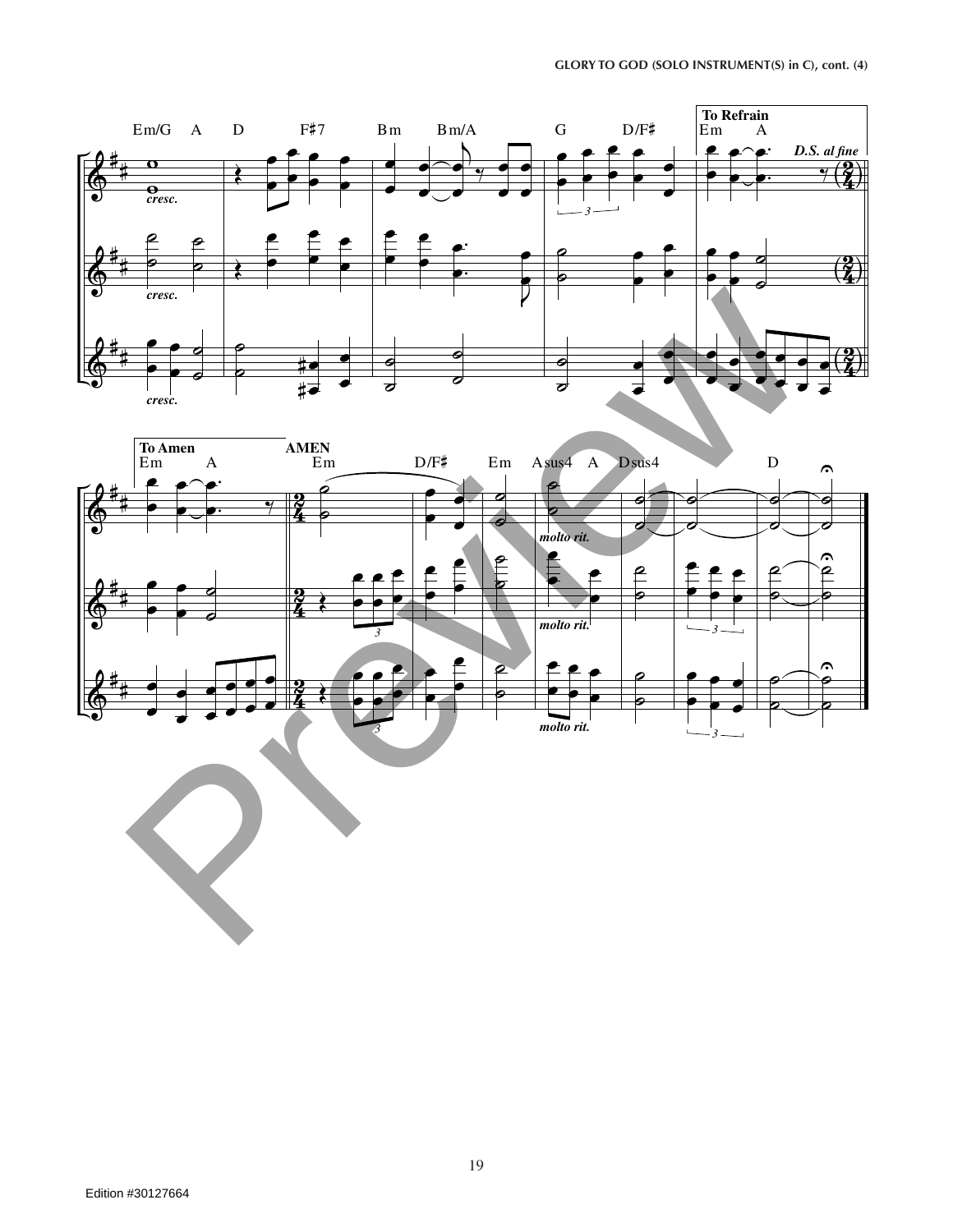

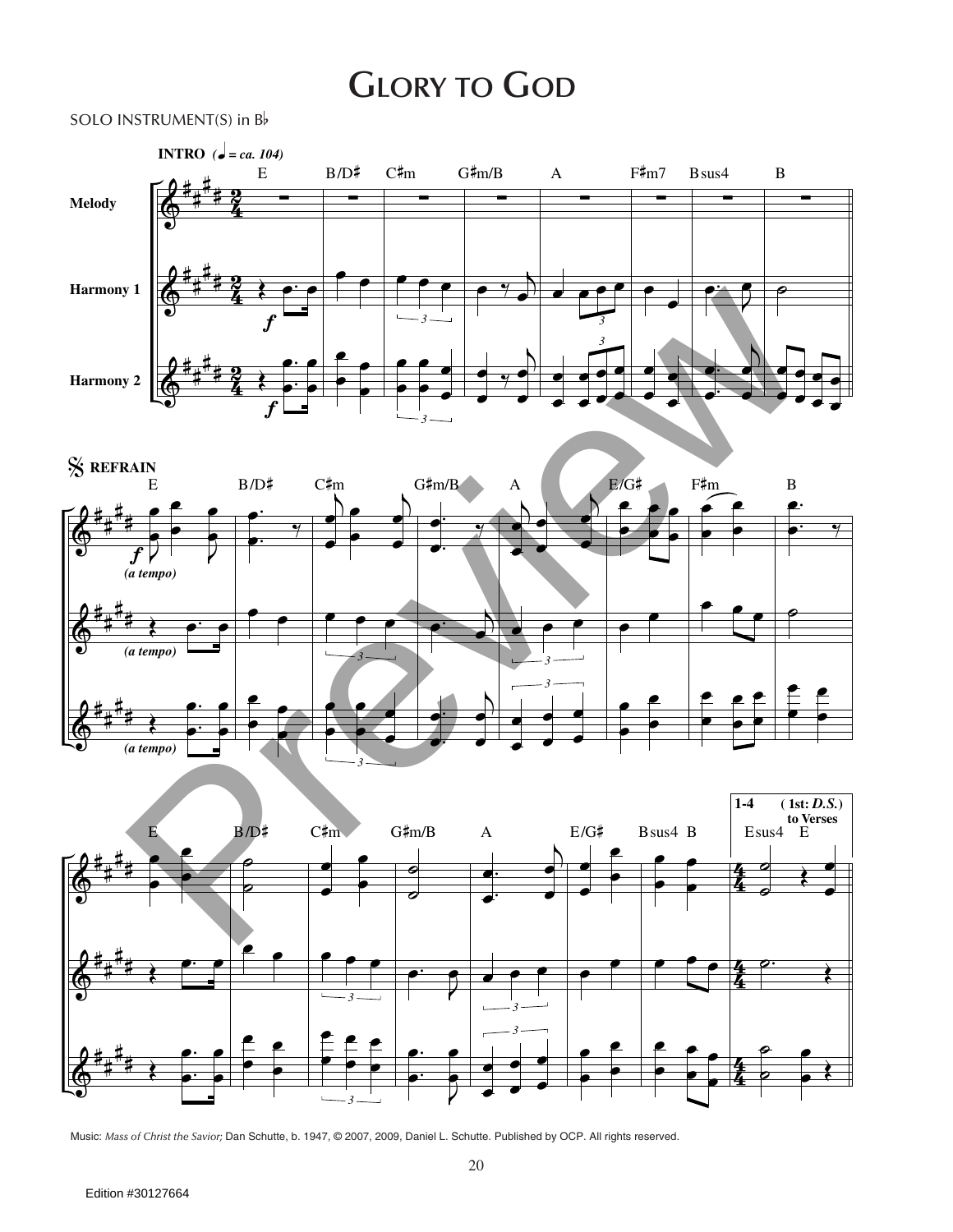### **Glory to God**

### SOLO INSTRUMENT(S) in Bb





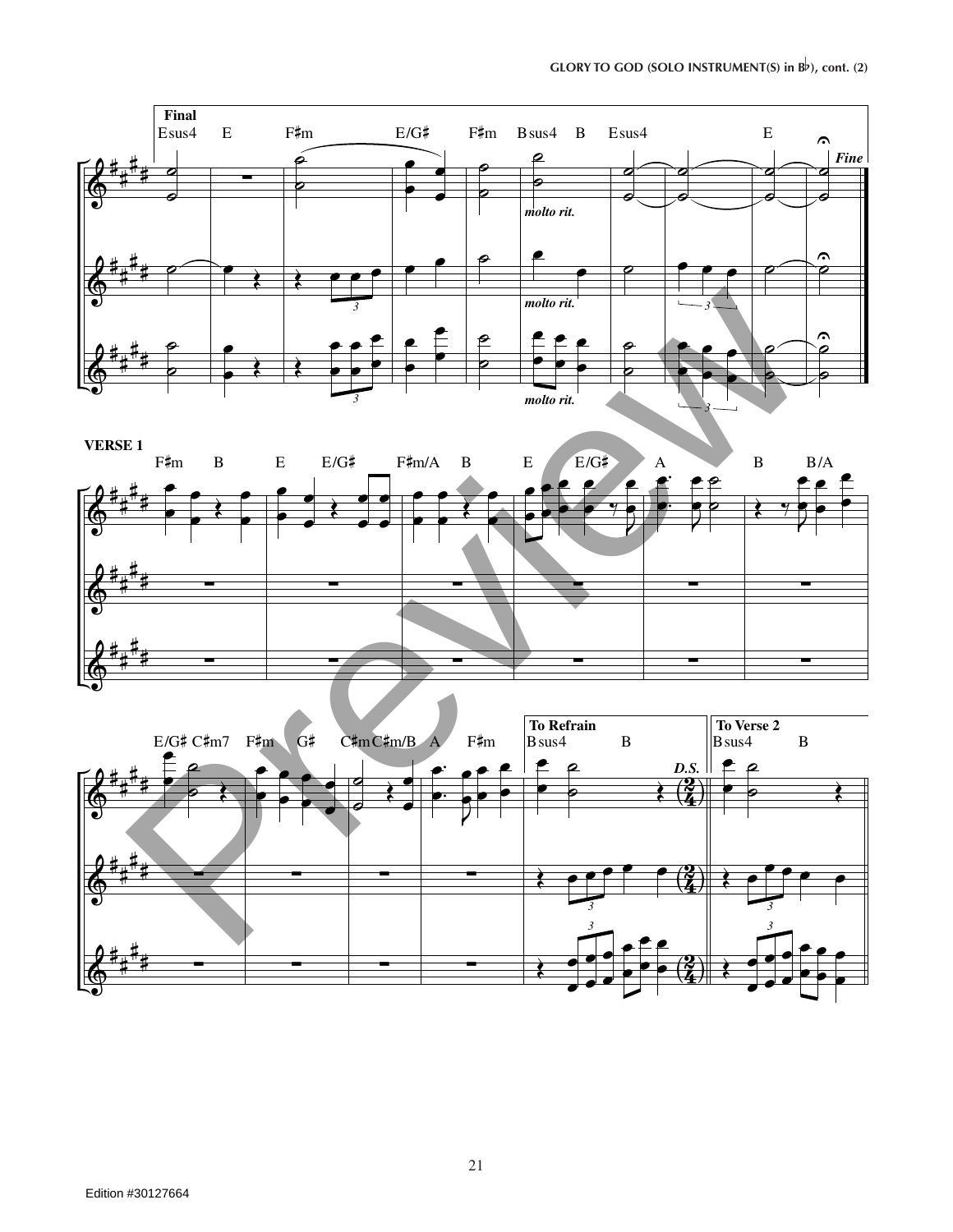



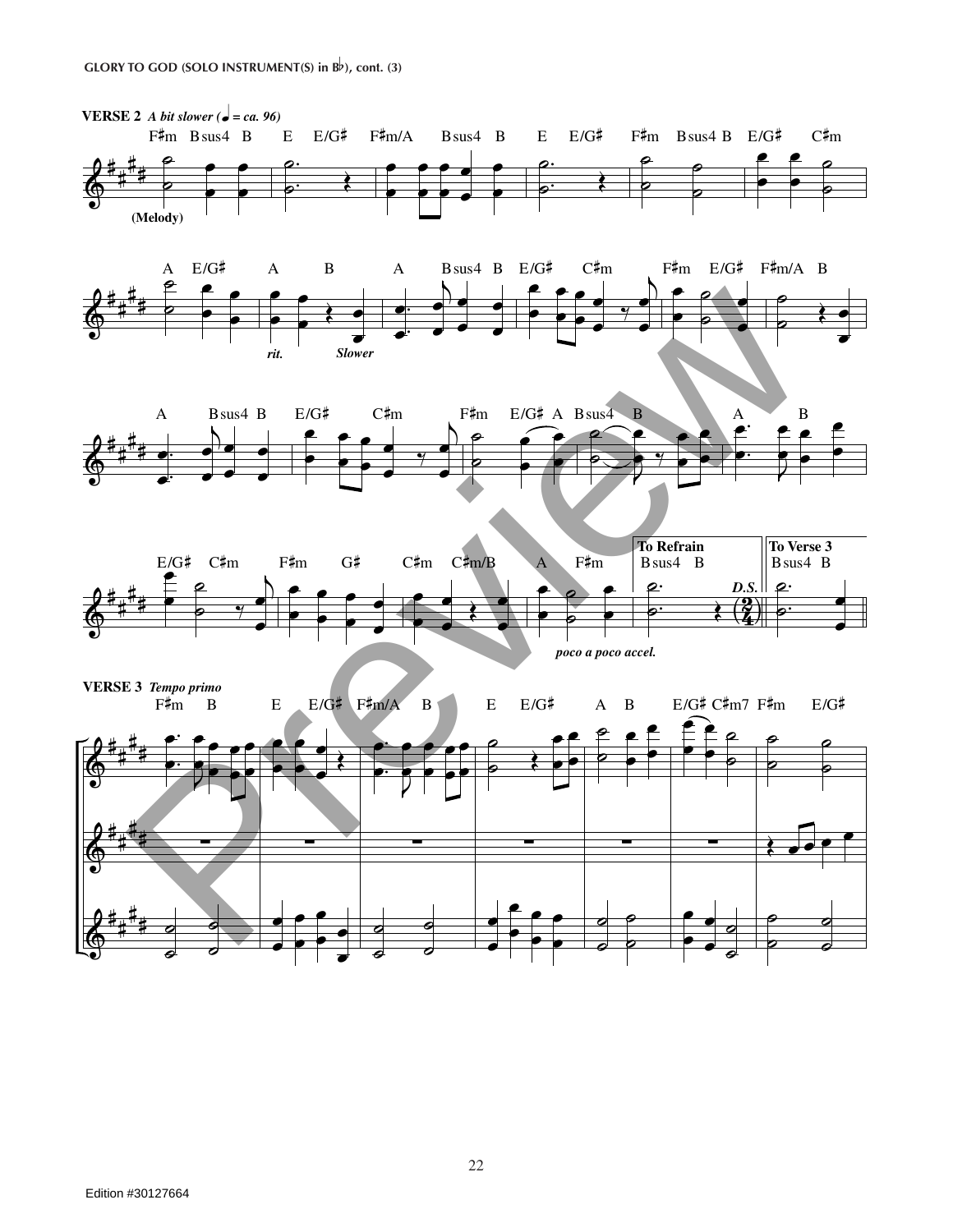#### **GLORY TO GOD (SOLO INSTRUMENT(S) in B<sub>b</sub>), cont. (3)**

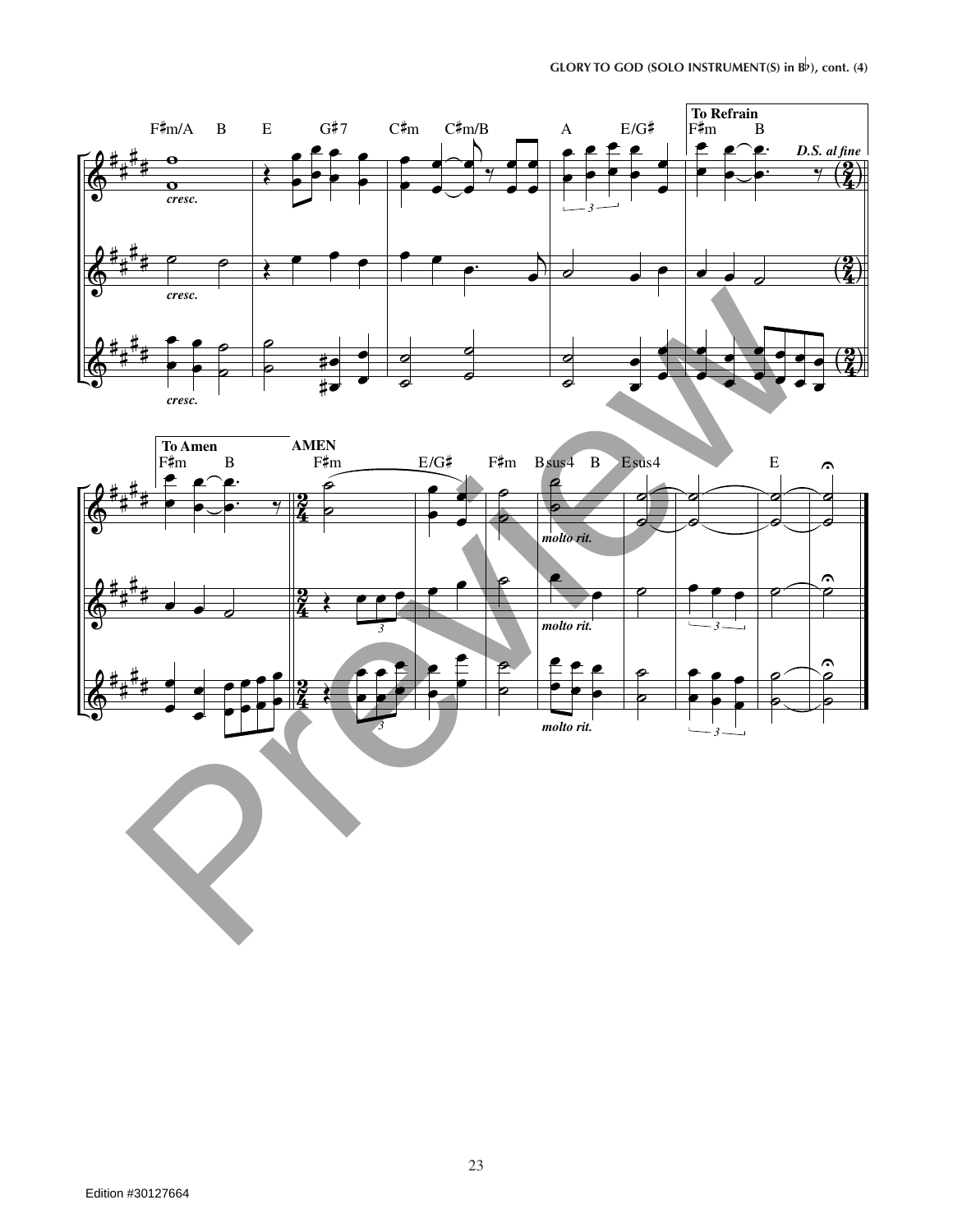

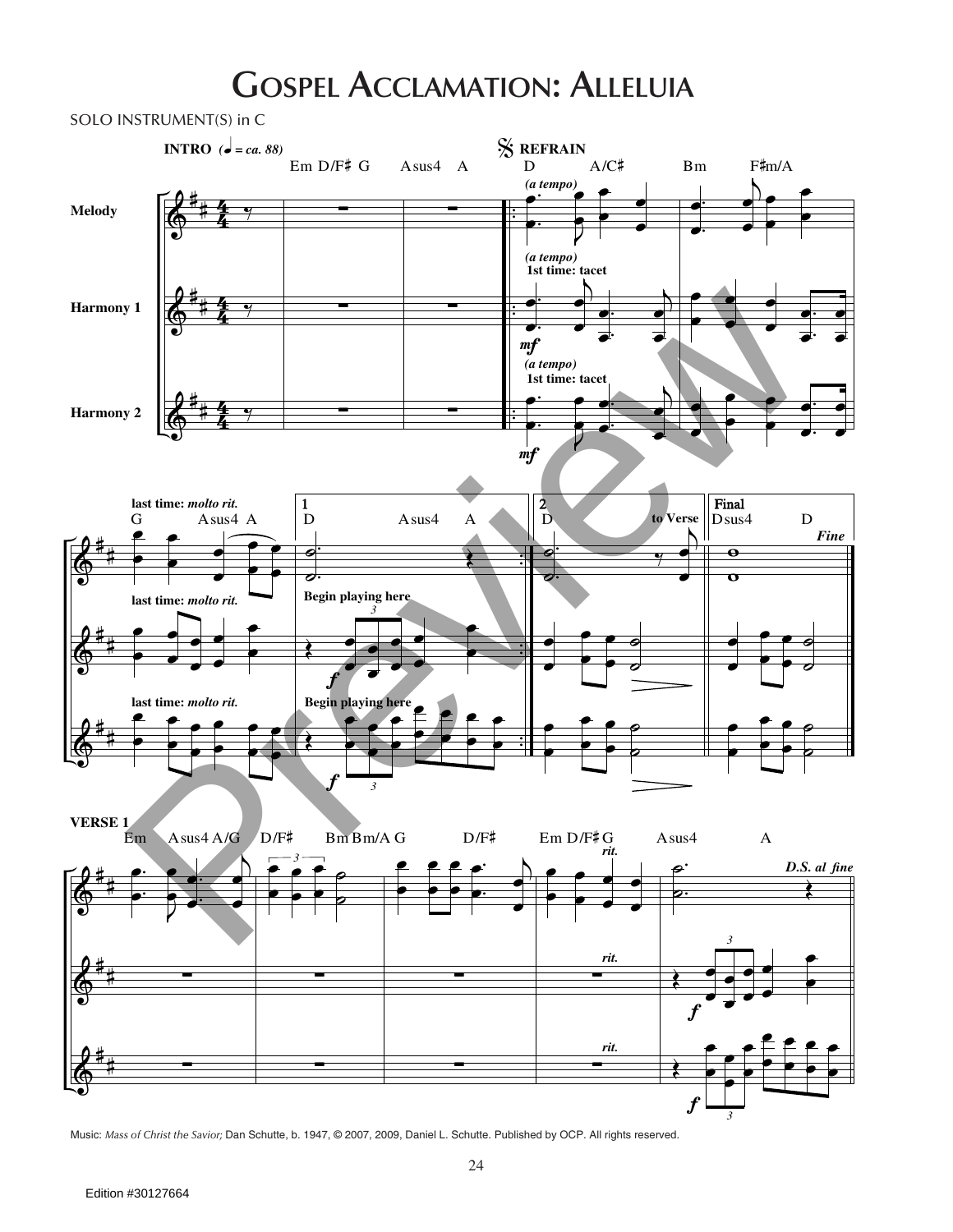# **Gospel Acclamation: Alleluia**

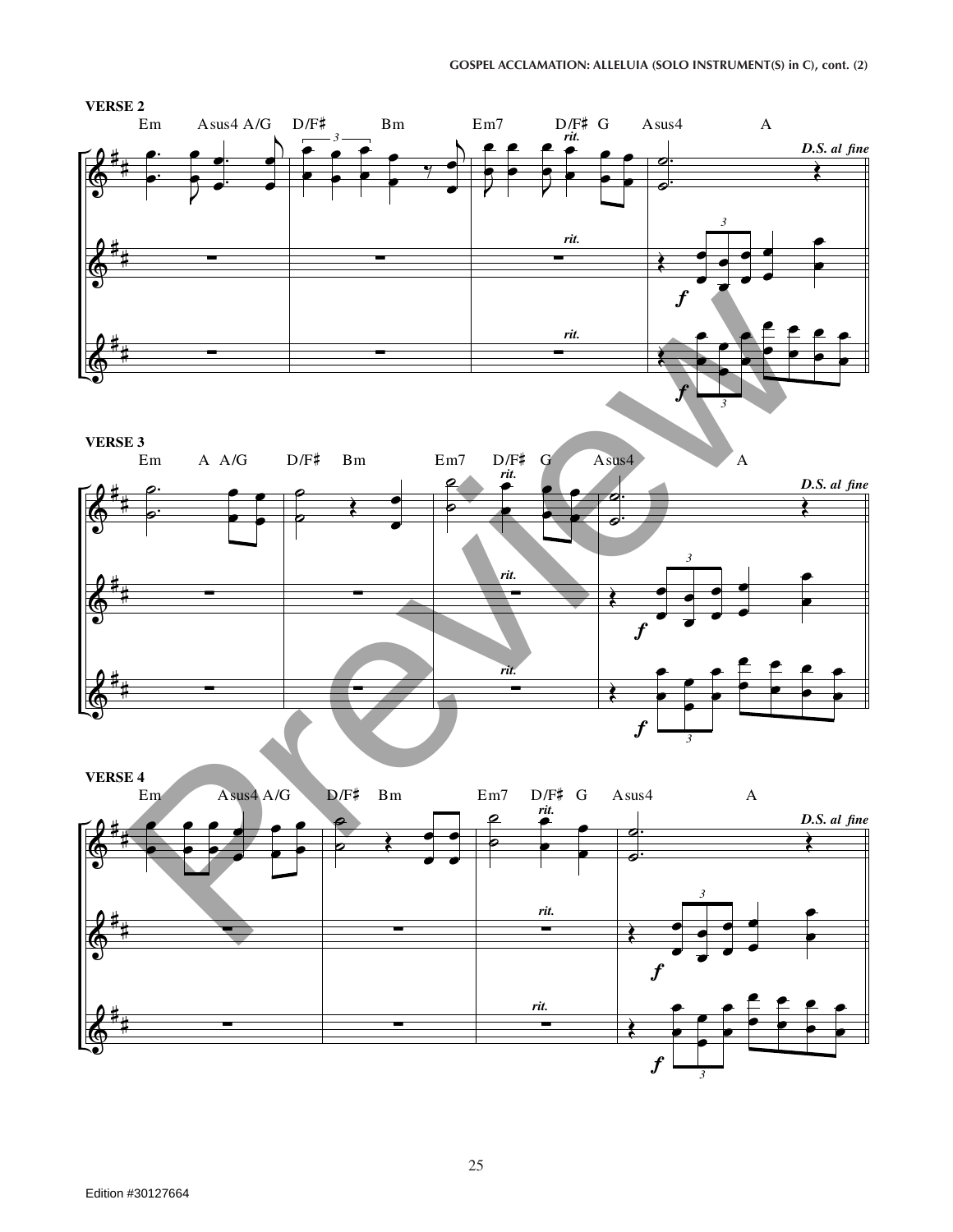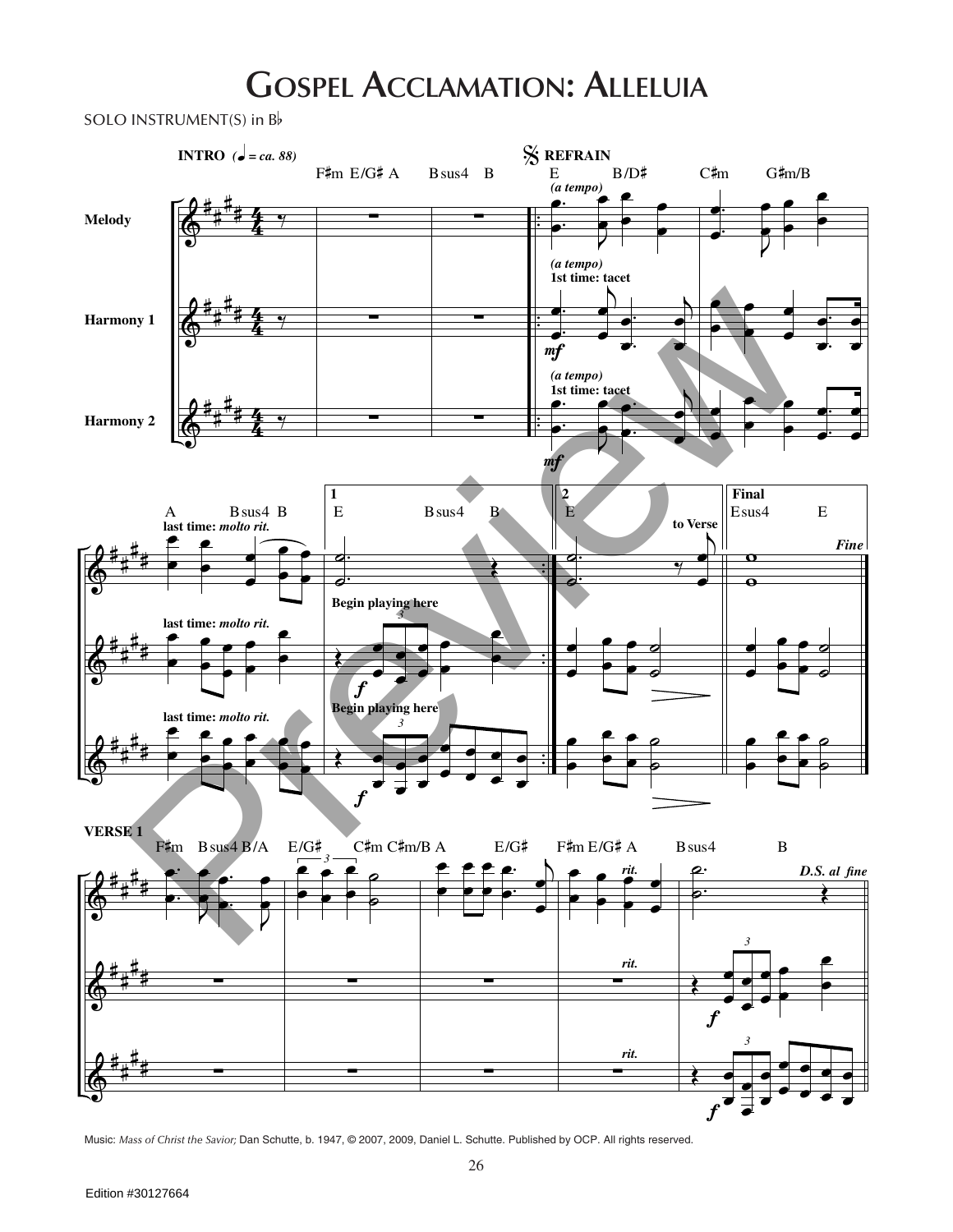### **Gospel Acclamation: Alleluia**

 $\pmb{\phi}$  $\Phi$  $\pmb{\phi}$ # # # # # # # # # # # #  $\frac{4}{4}$ 4  $rac{4}{4}$ 4 4<br>4 4 . . . . . . **Melody Harmony 1 Harmony 2** ‰ ‰ ‰ **INTRO**  $\overrightarrow{e}$  *= ca. 88*) ∑ ∑ ∑ F# m E/G# A ∑ ∑ ∑ Bsus4 B . . œ œ *(a tempo)*  $\ddot{\cdot}$ œ œ œ œ œ . . œ œ j **1st time: tacet** œ  $\begin{array}{c} \bullet \\ \bullet \\ \bullet \\ \bullet \end{array}$ . œ œ  $\overline{D}$ œ œ . . **e**<br>**e**<br>**e**<br>**e**<br>**e**  $\dddot{\hspace{1cm}}$ . œ  $\overline{b}$ œ œ  $E$  B/D#  $\frac{\%}{E}$  refrain<br>E B/D#  $\bar{m}$ f  $m<sub>f</sub>$ *(a tempo) (a tempo)* . . œ  $\cdot$  ) œ œ œ œ œ œ œ œ œ œ œ  $\begin{array}{c} \bullet \\ \bullet \\ \bullet \end{array}$ . œ œ œ œ œ œ œ œ œ  $\begin{array}{c} \bullet \\ \bullet \\ \bullet \end{array}$ . œ œ œ œ  $C\sharp m$ m G# m/B  $\Phi$  $\Phi$  $\Phi$ # # # # # # # # # # # # . . . . . . **e e f** œ œ œ œ œ œ œ œ **last time:** *molto rit.* œ œ œ œ œ œ œ œ last time: *molto rit.* œ œ œ œ œ œ œ œ œ œ A Bsus4 B **1** . .  $\bullet$  $\overline{\bullet}$ Œ  $\overline{a}$ œ œ œ œ œ œ œ œ œ *3* **Begin playing here** Œ œ œ œ œ œ œ œ œ œ œ œ œ œ œ *3*  $B$  sus 4 B f  $\boldsymbol{f}$ **Begin playing here 2** . .  $\overline{\bullet}$  $\bullet$ ‰ j **to Verse** œ œ œ œ œ œ œ œ  $\overline{\bullet}$  $\overline{\phantom{0}}$ œ œ œ œ œ œ  $\overline{a}$ ˙ E **Final** w  $\overline{\bullet}$ œ œ œ œ œ œ  $\bullet$  $\overline{\bullet}$ œ œ œ œ œ œ  $\epsilon$  $\overline{\bullet}$ Esus4 E *Fine*  $\Phi$  $\Phi$  $\Phi$ # # # # # # # # # # # # . . œ  $\overrightarrow{ }$ œ e ... . œ <sup>œ</sup> <sup>J</sup> œ œ ∑ ∑ F#m  $B$ sus $4 B/A$ **VERSE 1** œ œ œ œ œ œ  $\overline{e}$  $\overline{\bullet}$ *3* ∑ ∑  $E/G#$ m C#m/B A œ œ œ œ e<br>e . . œ œ  $\overline{b}$ œ œ ∑ ∑  $\rm E/G\ddagger$ œ œ œ œ rit<br>P œ œ œ ∑ ∑ F# m E/G# A *rit. rit. rit.* . . ˙  $\circ$   $\qquad$  $\begin{array}{c} \begin{array}{c} \bullet \\ \bullet \\ \bullet \end{array} \end{array}$ œ œ œ œ œ œ œ œ œ *3*  $\frac{1}{2}$ œ œ œ œ œ œ œ œ œ œ œ œ œ *3* B sus 4 B  $\boldsymbol{f}$  $\boldsymbol{f}$ *D.S. al fine* ony 1<br>  $\frac{1}{2}$ <br>  $\frac{1}{2}$ <br>  $\frac{1}{2}$ <br>  $\frac{1}{2}$ <br>  $\frac{1}{2}$ <br>  $\frac{1}{2}$ <br>  $\frac{1}{2}$ <br>  $\frac{1}{2}$ <br>  $\frac{1}{2}$ <br>  $\frac{1}{2}$ <br>  $\frac{1}{2}$ <br>  $\frac{1}{2}$ <br>  $\frac{1}{2}$ <br>  $\frac{1}{2}$ <br>  $\frac{1}{2}$ <br>  $\frac{1}{2}$ <br>  $\frac{1}{2}$ <br>  $\frac{1}{2}$ <br>  $\frac{1}{2}$ <br>  $\frac{1$ 

Music: *Mass of Christ the Savior;* Dan Schutte, b. 1947, © 2007, 2009, Daniel L. Schutte. Published by OCP. All rights reserved.

SOLO INSTRUMENT(S) in Bb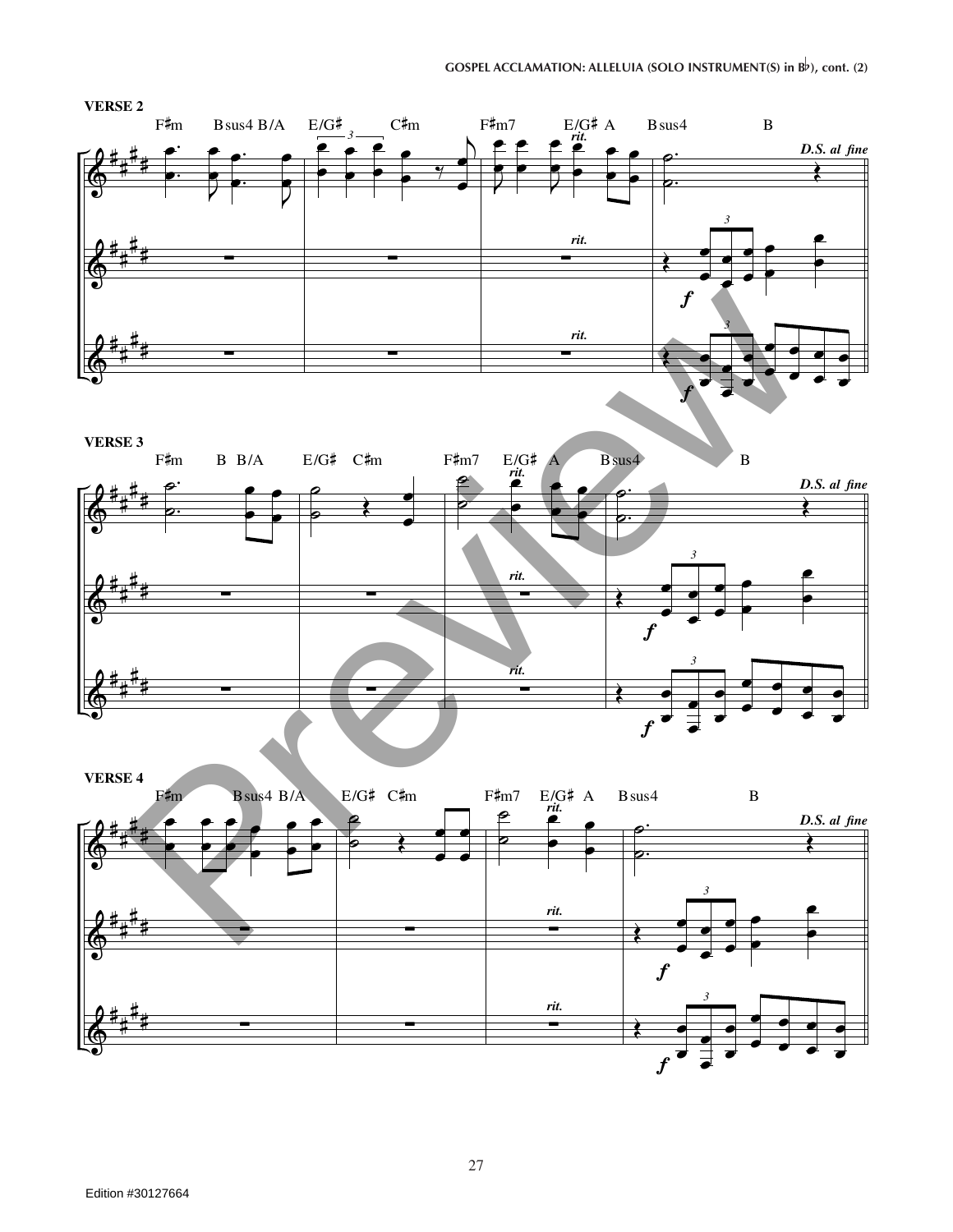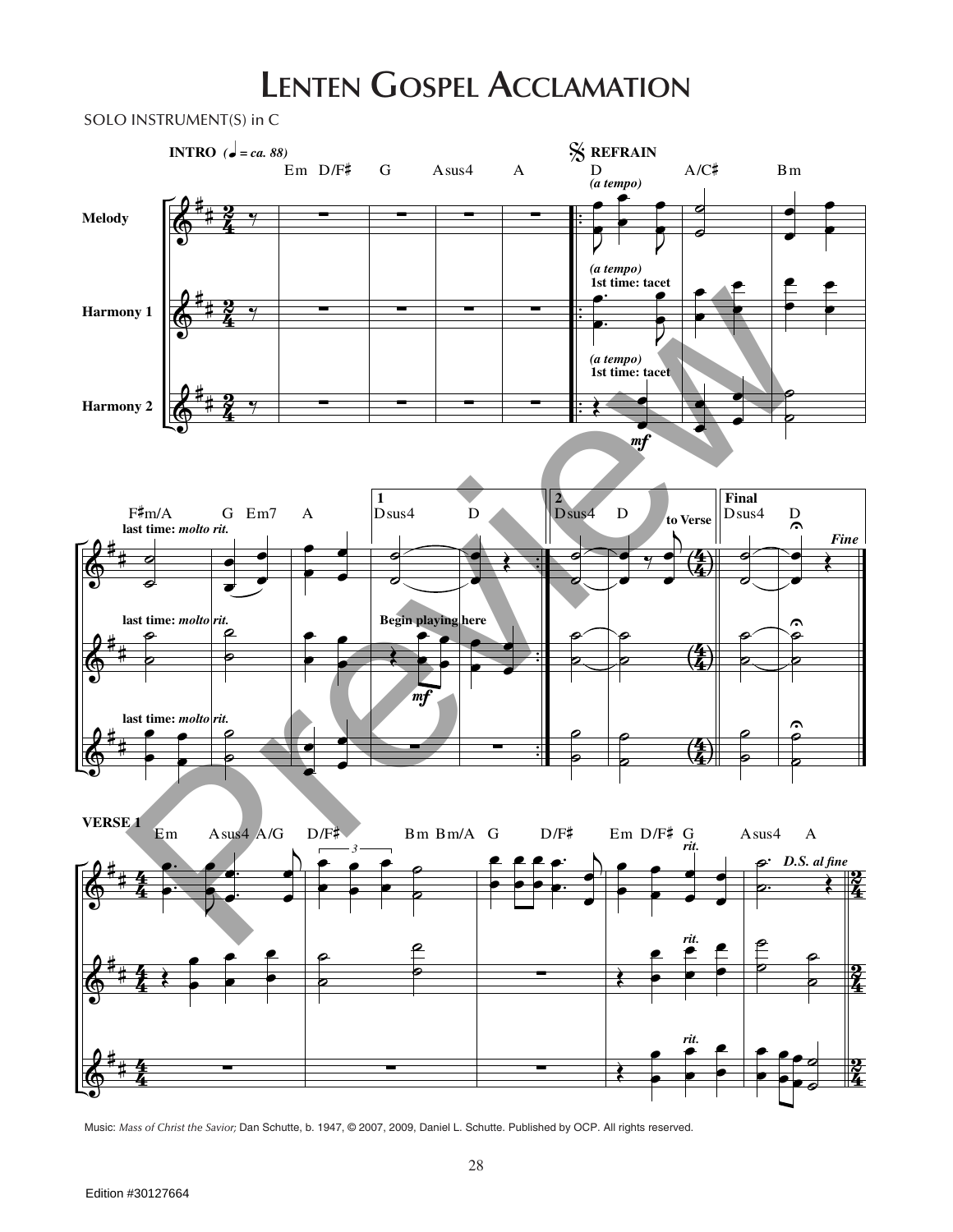# **Lenten Gospel Acclamation**

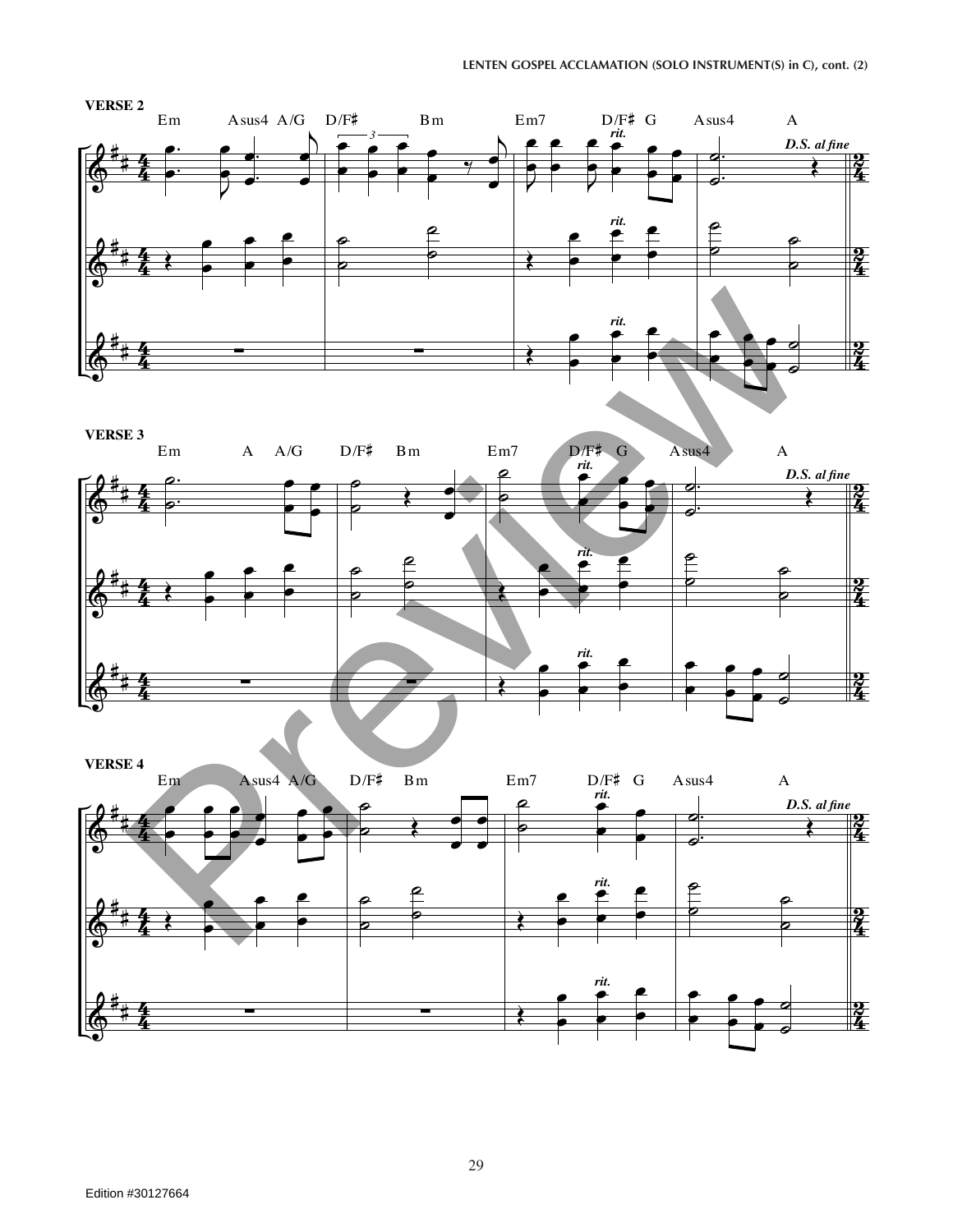



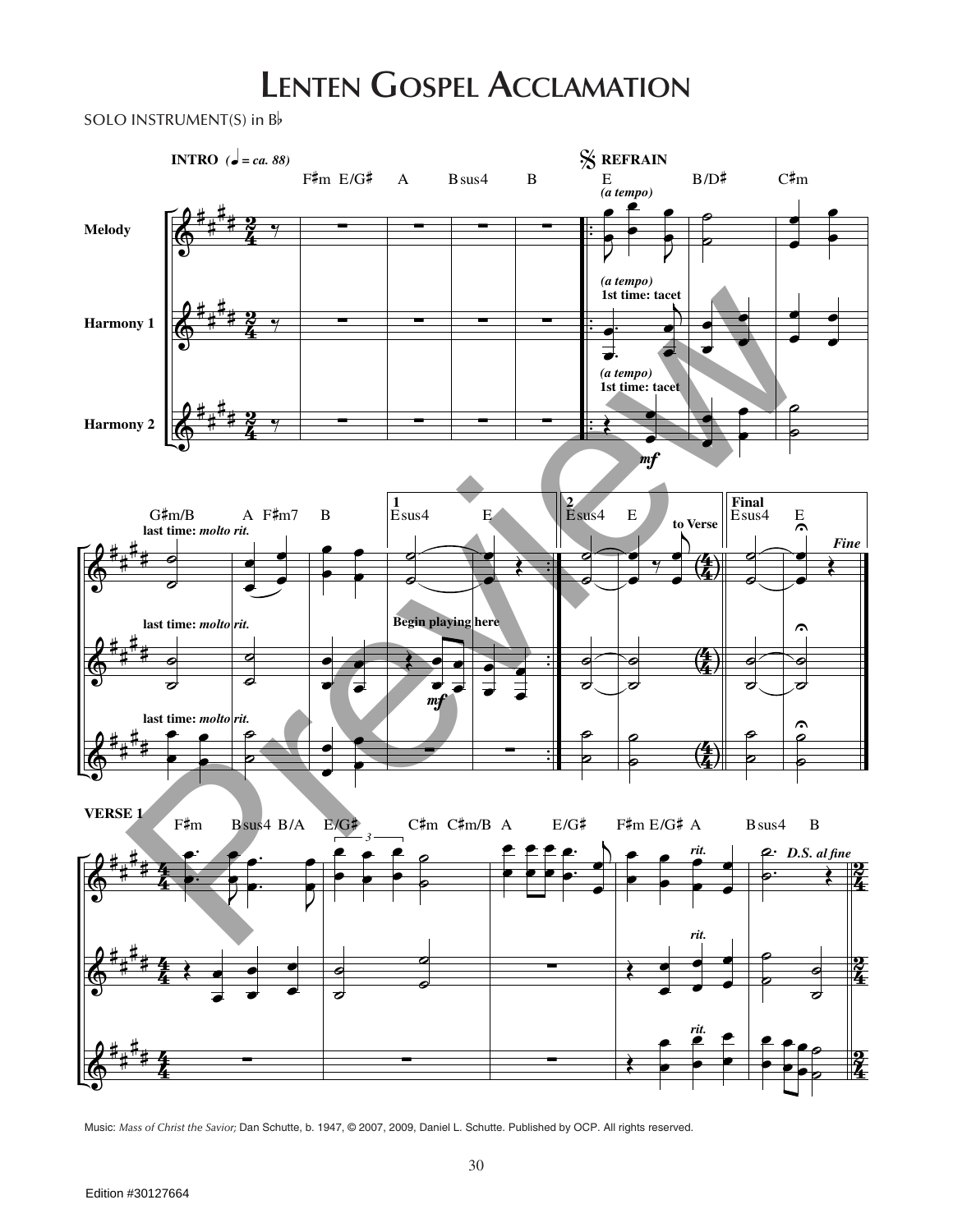# **Lenten Gospel Acclamation**

SOLO INSTRUMENT(S) in Bb

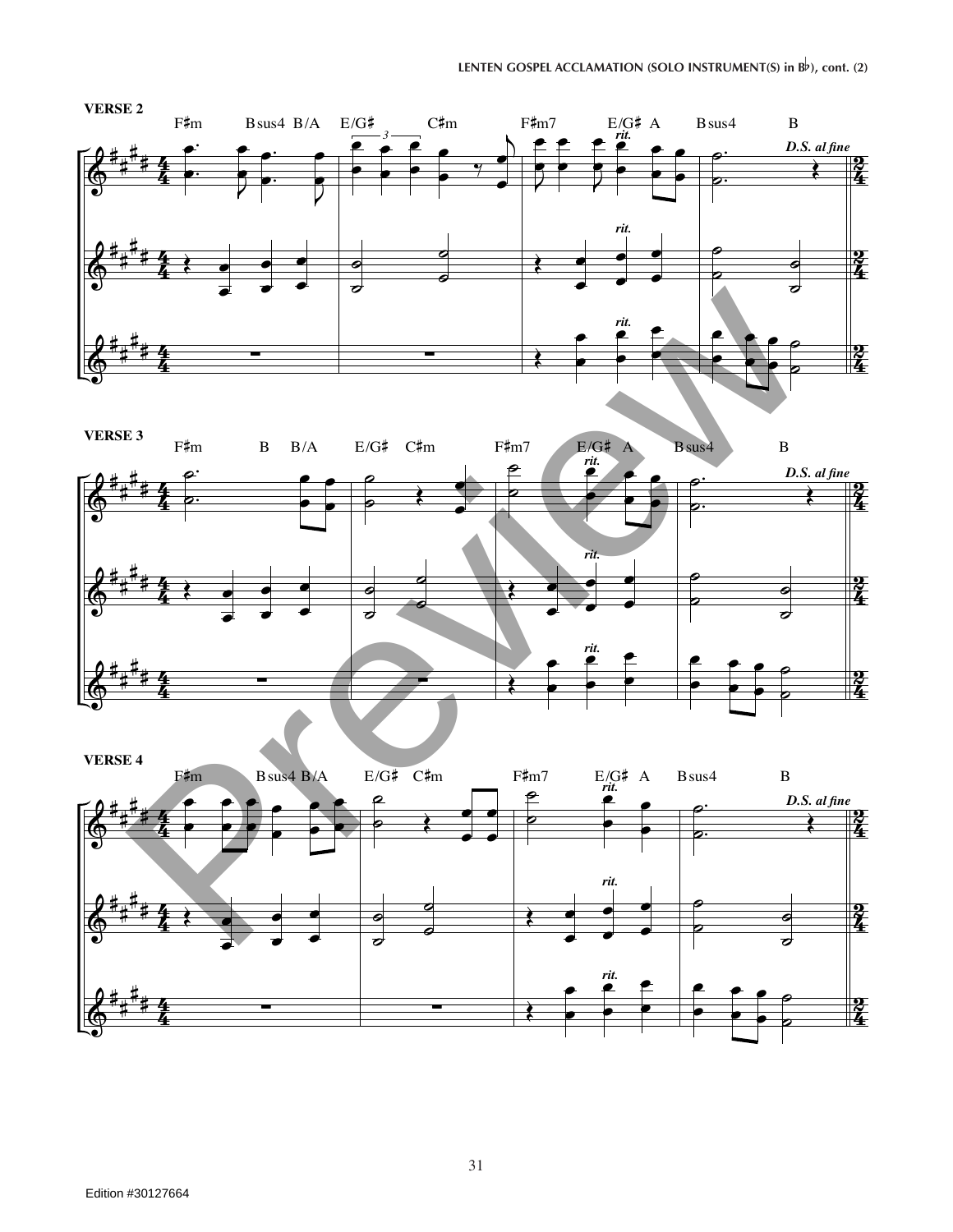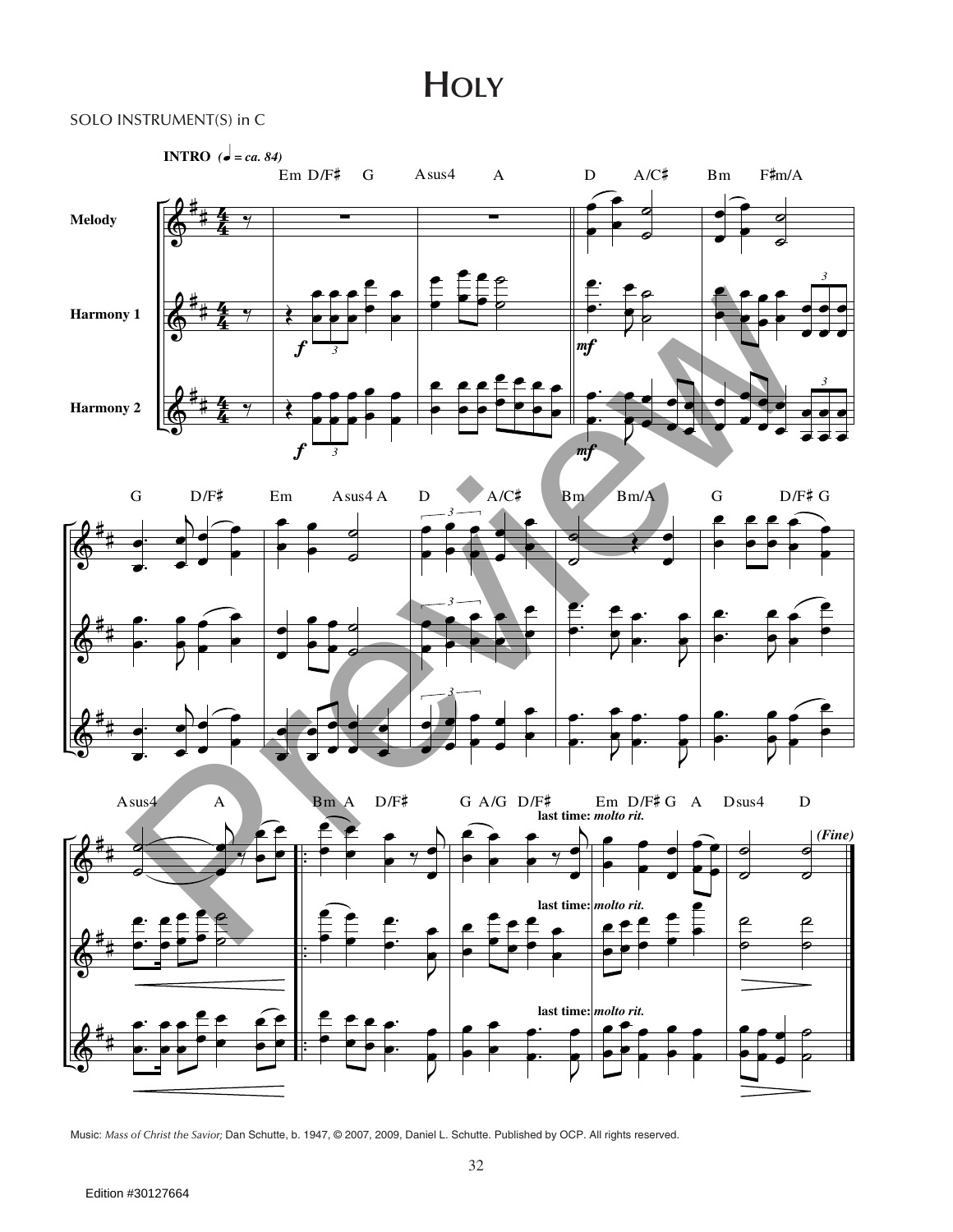### **Holy**

### SOLO INSTRUMENT(S) in C



![](_page_30_Figure_3.jpeg)

![](_page_30_Figure_4.jpeg)

Music: *Mass of Christ the Savior;* Dan Schutte, b. 1947, © 2007, 2009, Daniel L. Schutte. Published by OCP. All rights reserved.

#### Edition #30127664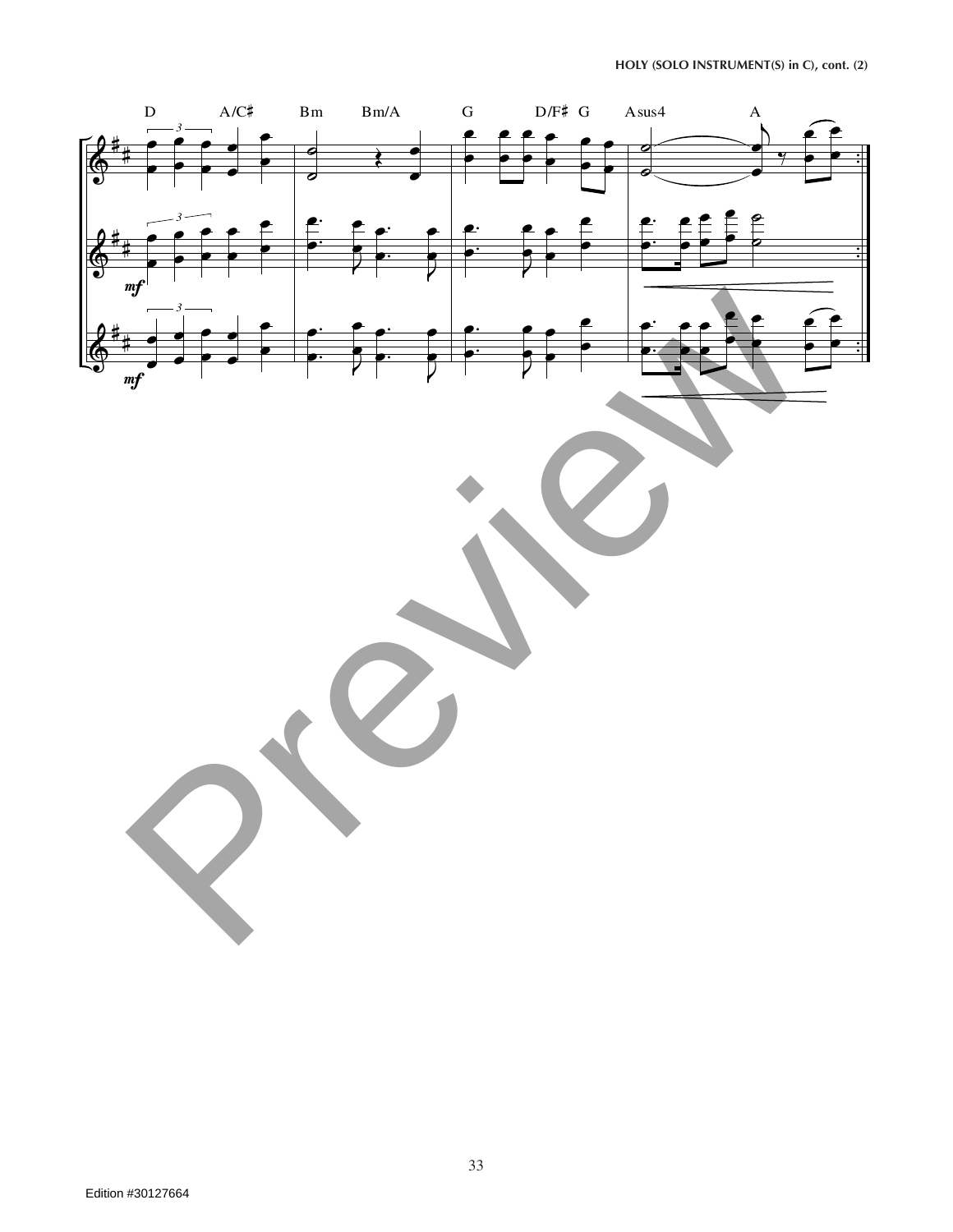![](_page_31_Figure_1.jpeg)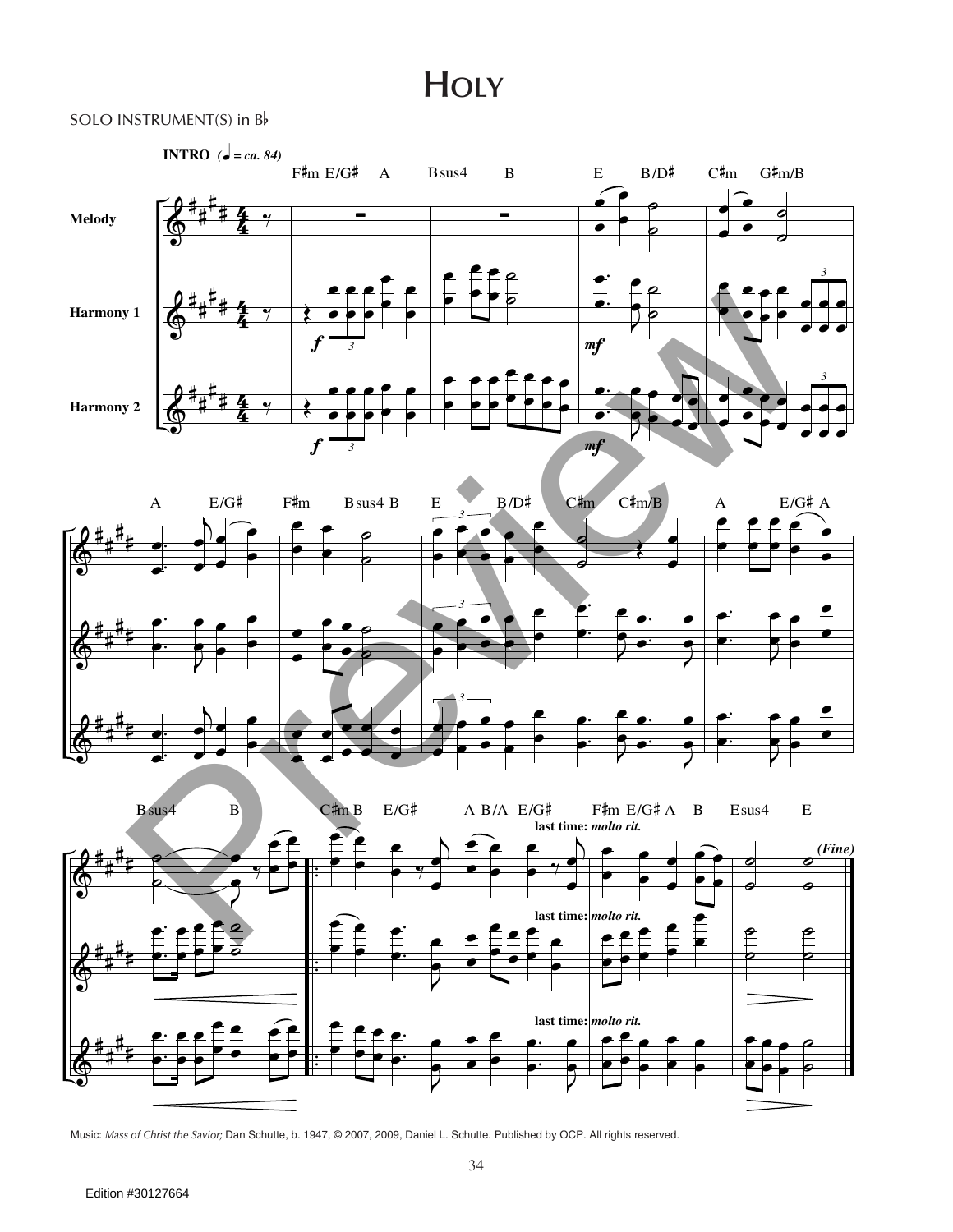### **Holy**

### SOLO INSTRUMENT(S) in Bb

![](_page_32_Figure_2.jpeg)

![](_page_32_Figure_3.jpeg)

![](_page_32_Figure_4.jpeg)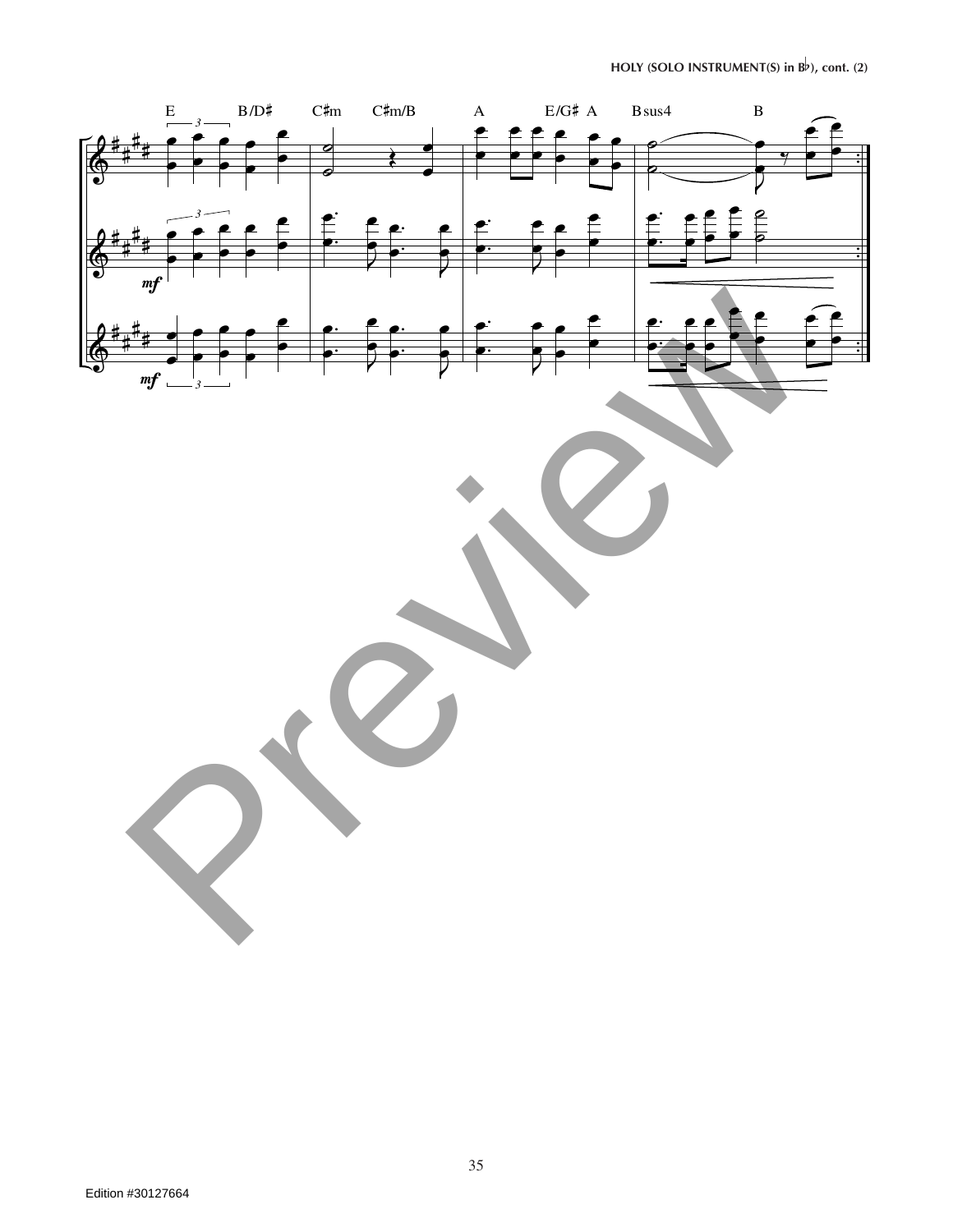![](_page_33_Figure_1.jpeg)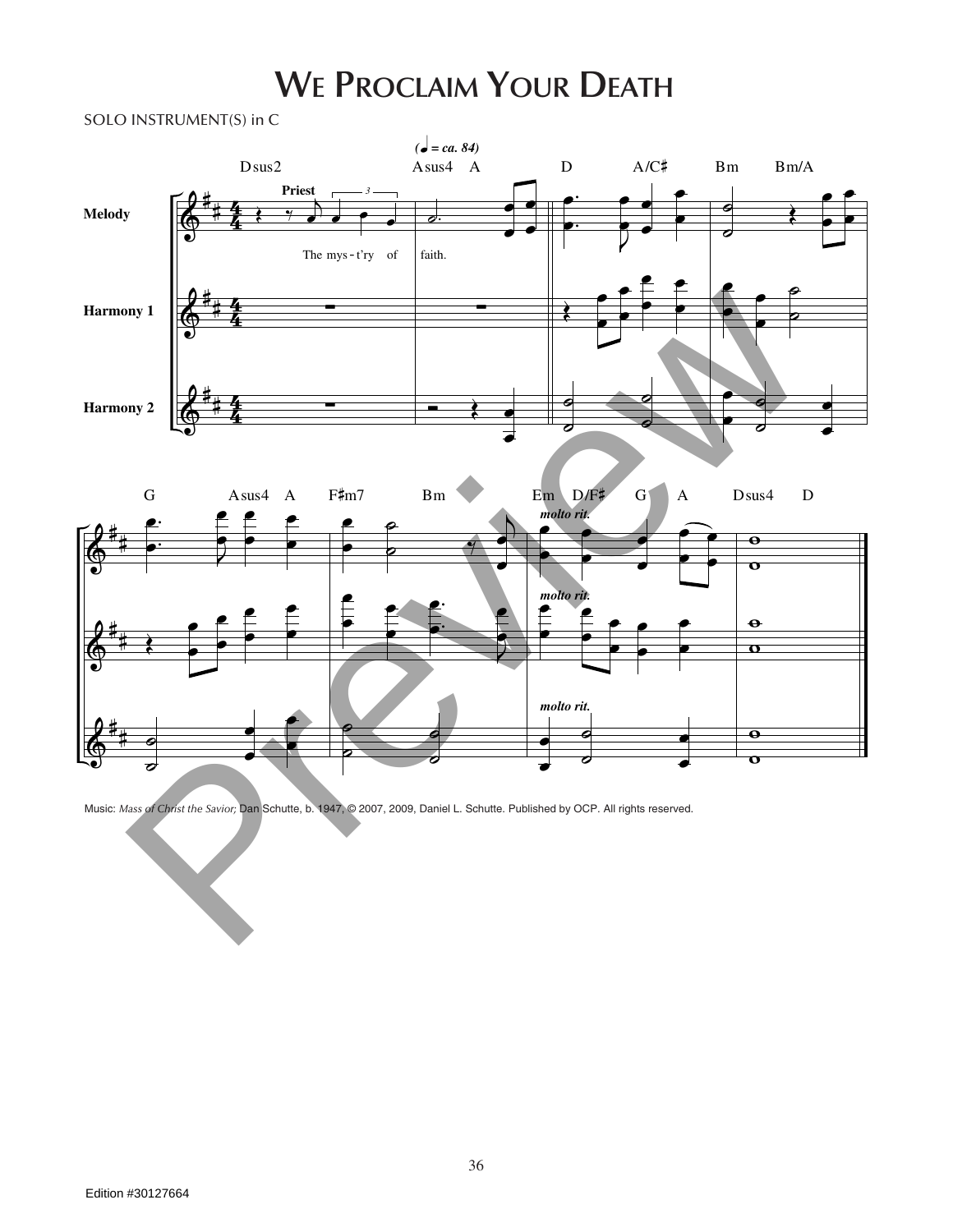# **We Proclaim Your Death**

SOLO INSTRUMENT(S) in C

![](_page_34_Figure_2.jpeg)

![](_page_34_Figure_3.jpeg)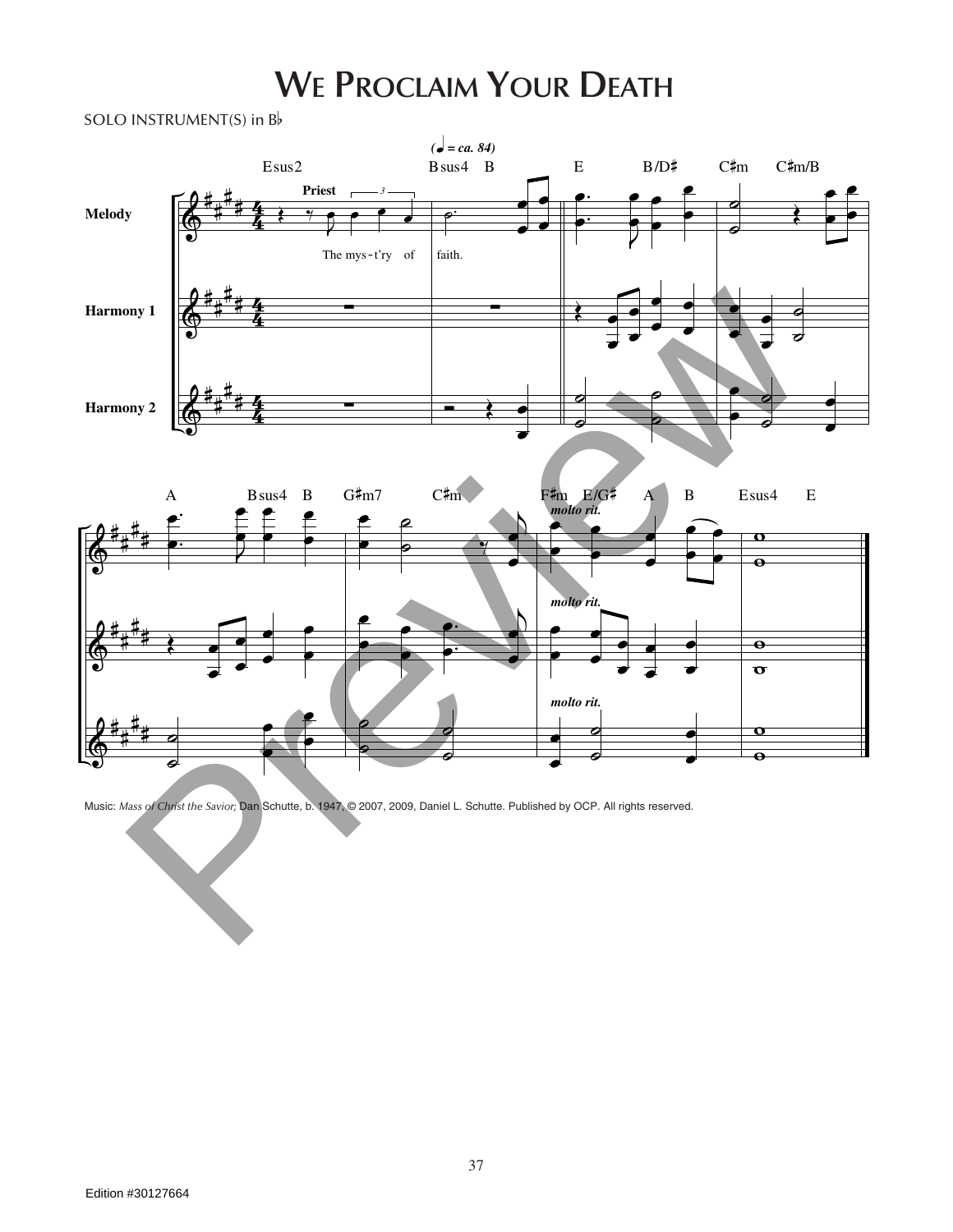# **We Proclaim Your Death**

SOLO INSTRUMENT(S) in Bb

![](_page_35_Figure_2.jpeg)

Music: *Mass of Christ the Savior;* Dan Schutte, b. 1947, © 2007, 2009, Daniel L. Schutte. Published by OCP. All rights reserved.

 $\Phi$ 

# # # #

Œ œ

 $\overline{\bullet}$  $\overline{\phantom{0}}$  œ

œ œ œ œ

œ œ œ œ œ œ

 $\epsilon$  $\overline{\bullet}$  œ œ

. . œ œ

 $\overline{\bullet}$ ˙

 $\overline{b}$ œ œ

œ œ

*molto rit.*

*molto rit.*

œ œ œ œ œ œ

 $\overline{\bullet}$  $\overline{\bullet}$  œ œ œ œ

 $\overline{\mathbf{e}}$  $\overline{\mathbf{o}}$ 

 $\mathbf{o}$  $\overline{\mathbf{o}}$ 

œ œ

œ œ

# # # #

 $\Phi$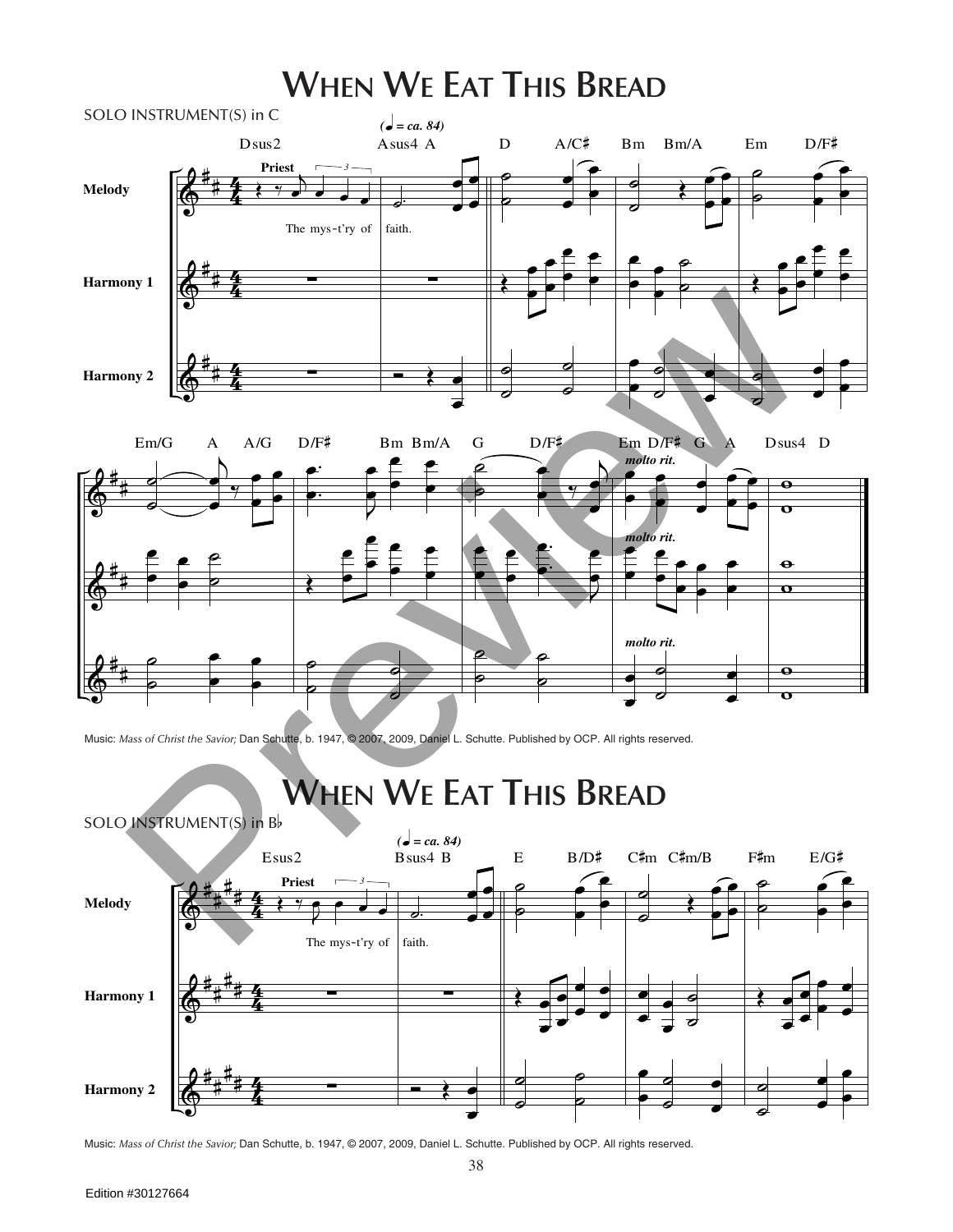## **When We Eat This Bread**

![](_page_36_Figure_1.jpeg)

# **When We Eat This Bread**

![](_page_36_Figure_4.jpeg)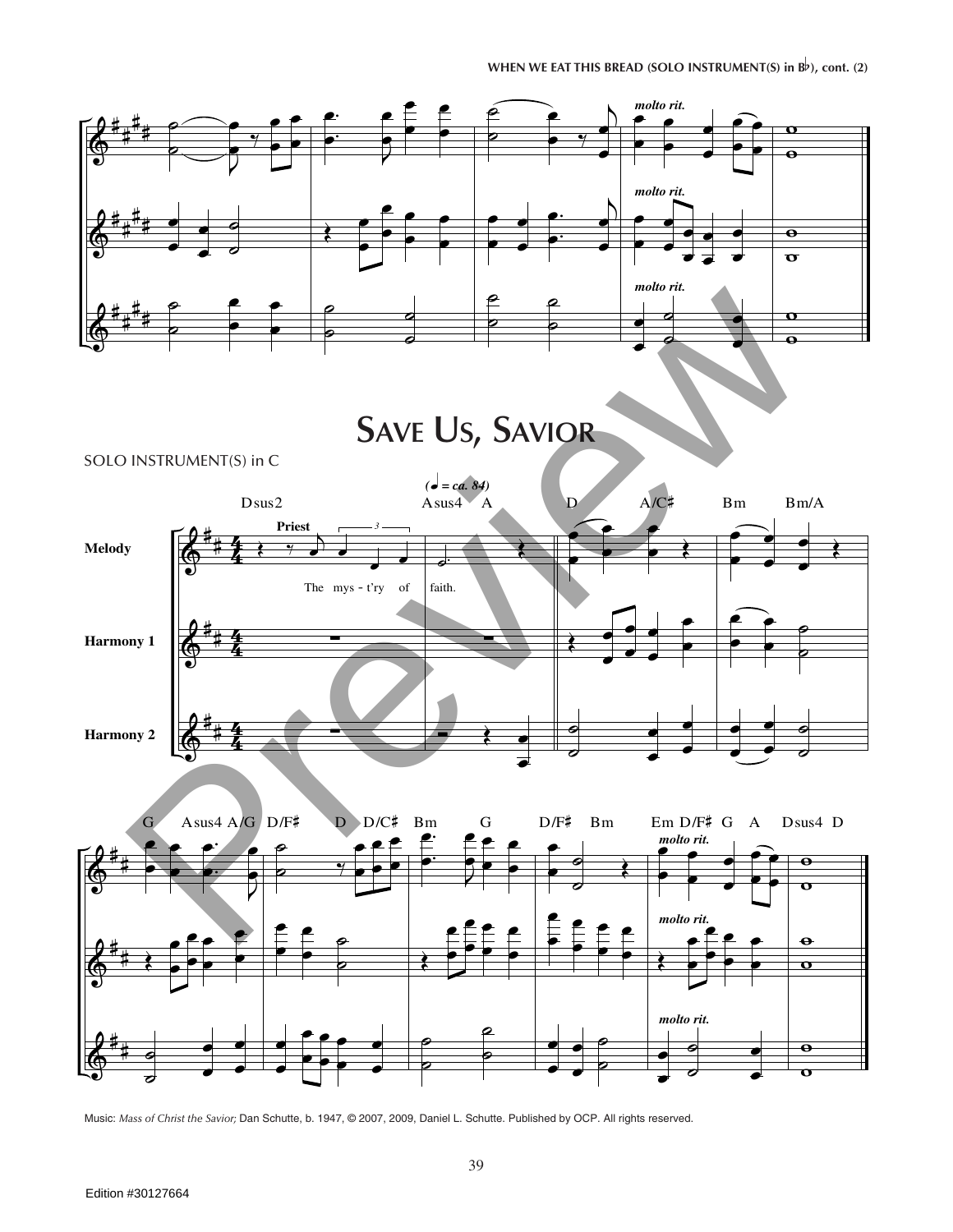![](_page_37_Figure_1.jpeg)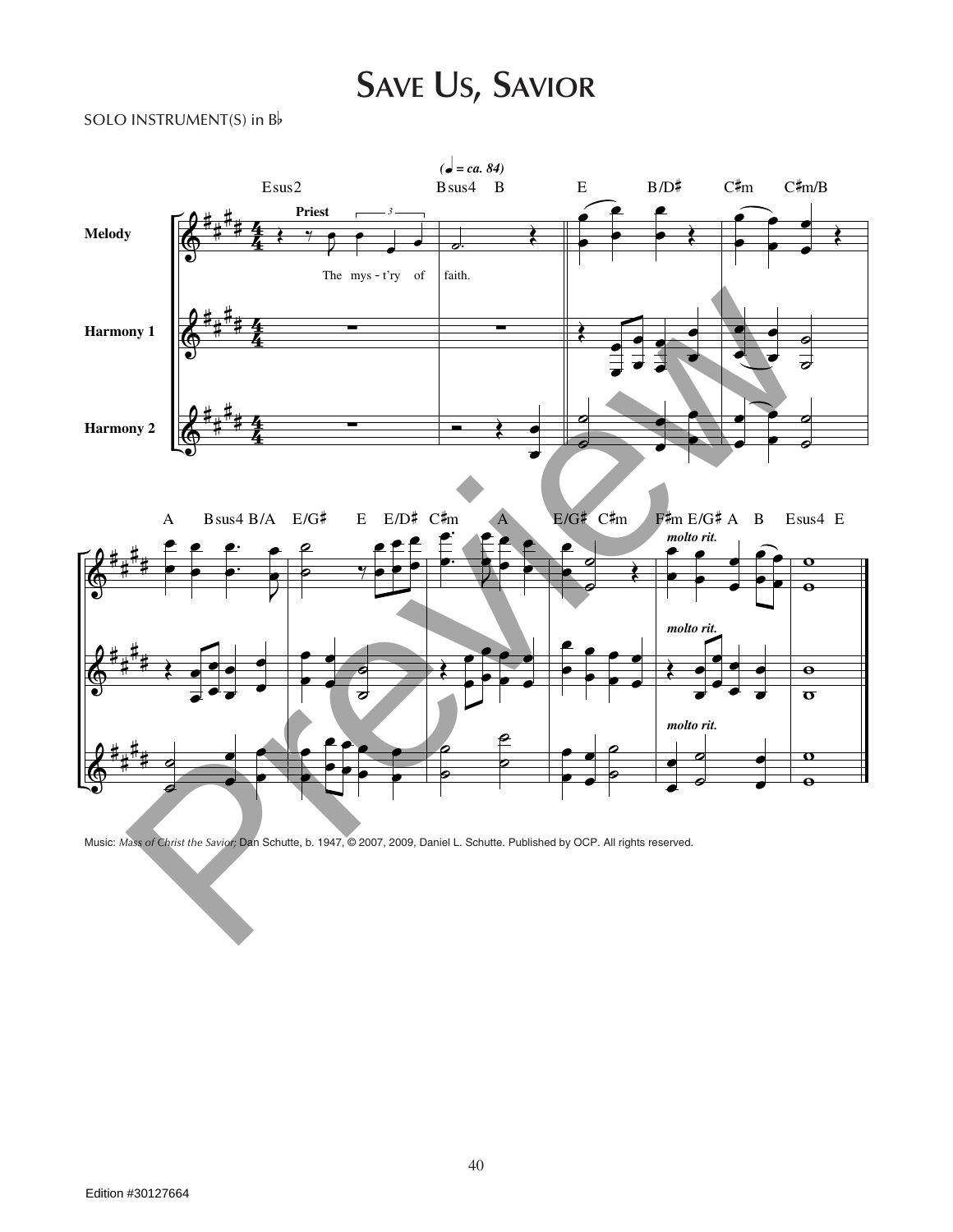### **Save Us, Savior**

### SOLO INSTRUMENT(S) in Bb

![](_page_38_Figure_2.jpeg)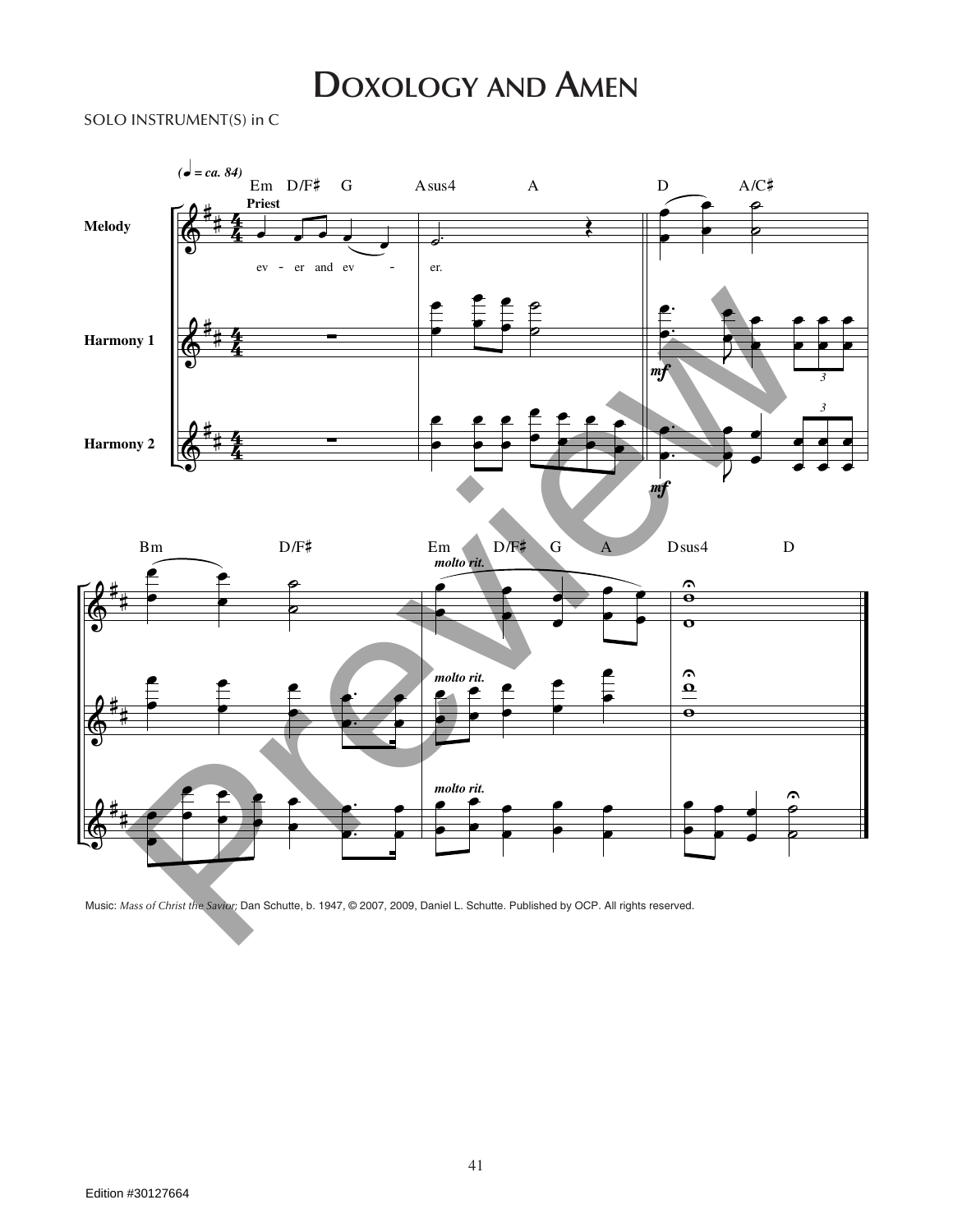### **Doxology and Amen**

### SOLO INSTRUMENT(S) in C

![](_page_39_Figure_2.jpeg)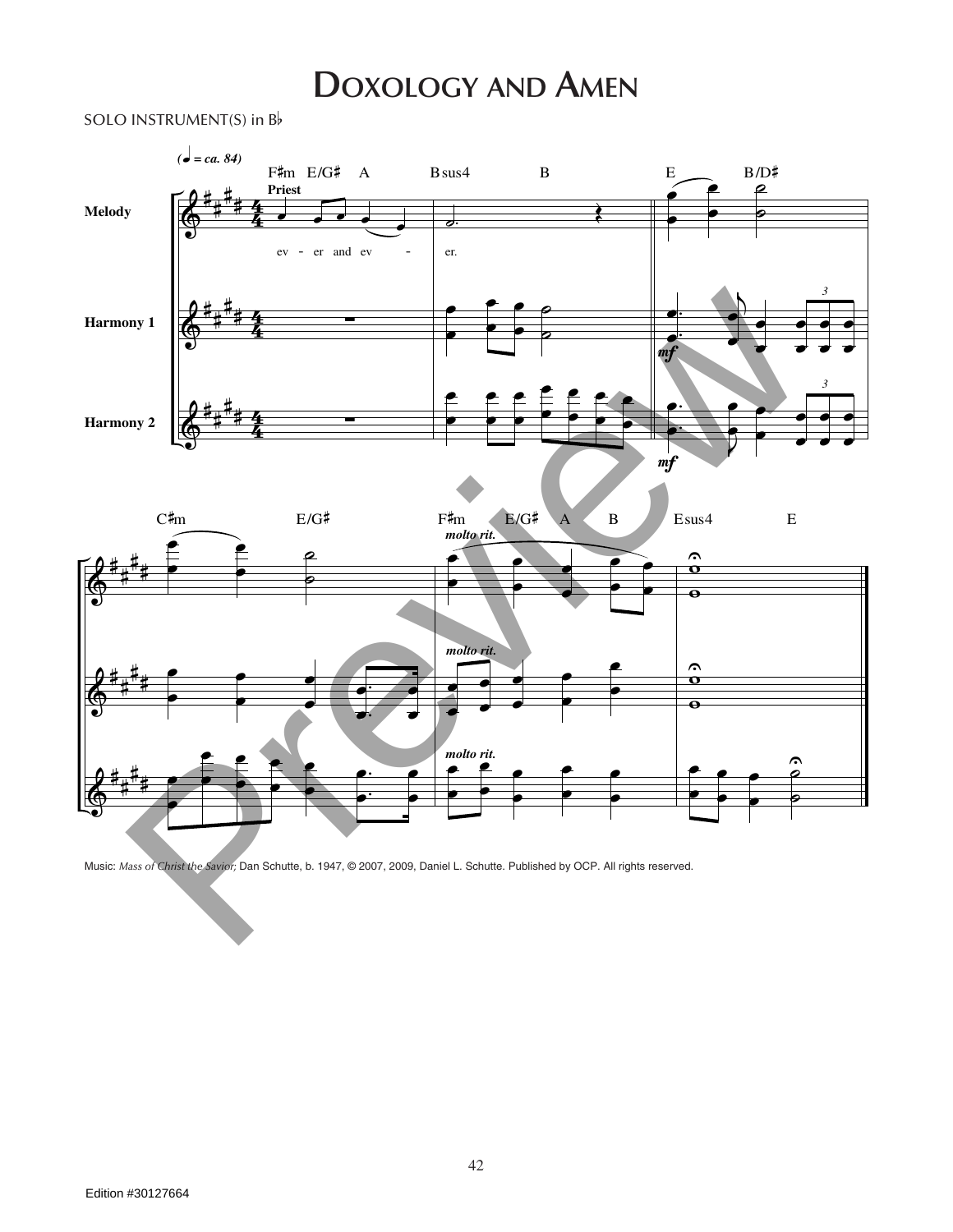### **Doxology and Amen**

### SOLO INSTRUMENT(S) in Bb

![](_page_40_Figure_2.jpeg)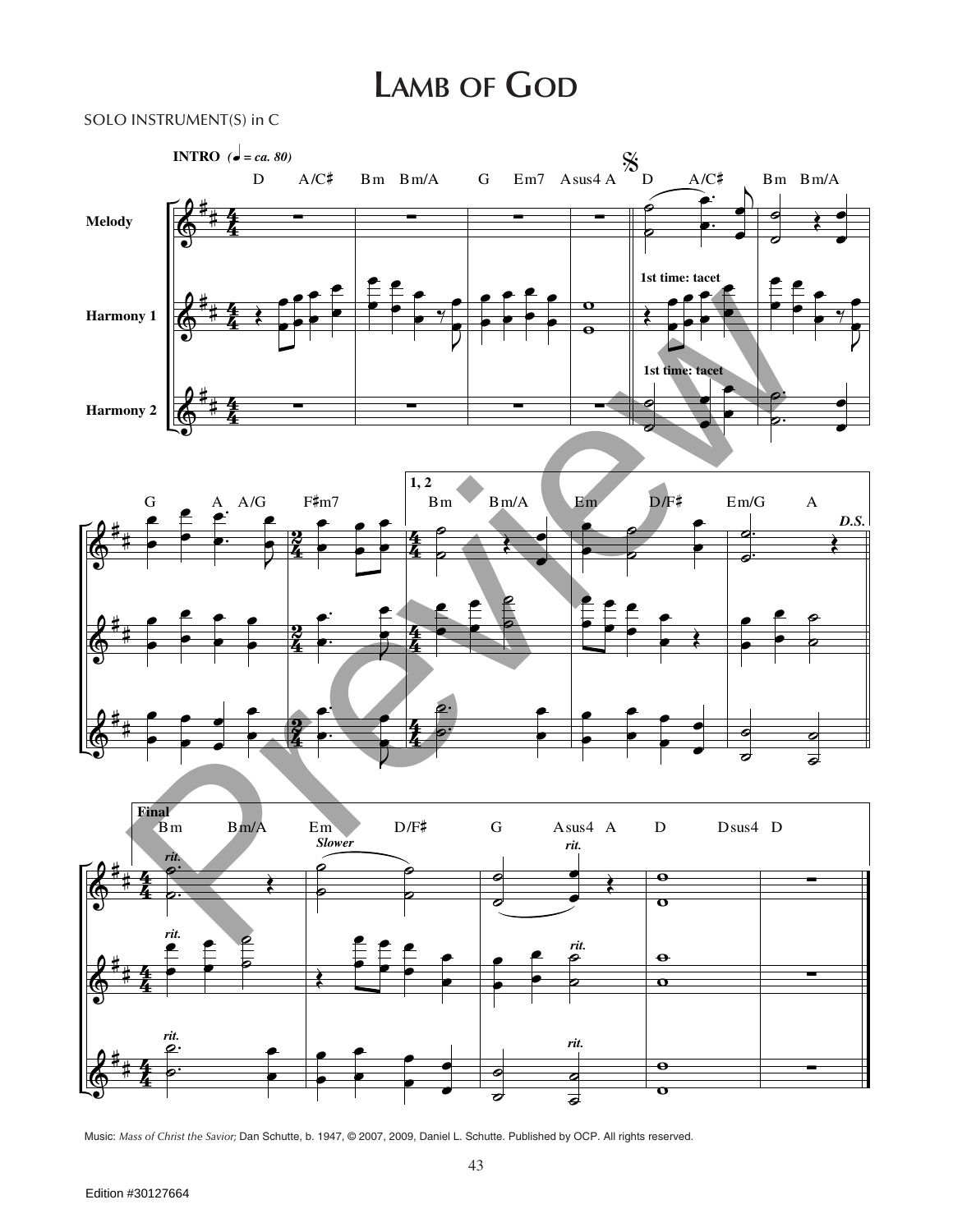### **Lamb of God**

### SOLO INSTRUMENT(S) in C

![](_page_41_Figure_2.jpeg)

![](_page_41_Figure_3.jpeg)

![](_page_41_Figure_4.jpeg)